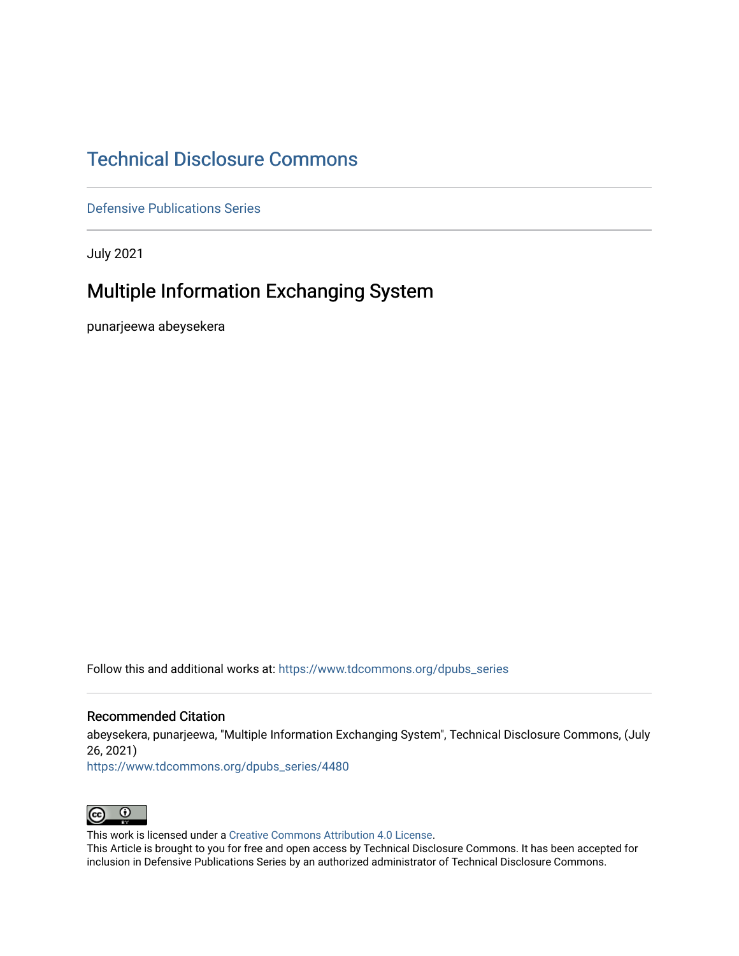## [Technical Disclosure Commons](https://www.tdcommons.org/)

[Defensive Publications Series](https://www.tdcommons.org/dpubs_series)

July 2021

## Multiple Information Exchanging System

punarjeewa abeysekera

Follow this and additional works at: [https://www.tdcommons.org/dpubs\\_series](https://www.tdcommons.org/dpubs_series?utm_source=www.tdcommons.org%2Fdpubs_series%2F4480&utm_medium=PDF&utm_campaign=PDFCoverPages) 

#### Recommended Citation

abeysekera, punarjeewa, "Multiple Information Exchanging System", Technical Disclosure Commons, (July 26, 2021)

[https://www.tdcommons.org/dpubs\\_series/4480](https://www.tdcommons.org/dpubs_series/4480?utm_source=www.tdcommons.org%2Fdpubs_series%2F4480&utm_medium=PDF&utm_campaign=PDFCoverPages)



This work is licensed under a [Creative Commons Attribution 4.0 License](http://creativecommons.org/licenses/by/4.0/deed.en_US).

This Article is brought to you for free and open access by Technical Disclosure Commons. It has been accepted for inclusion in Defensive Publications Series by an authorized administrator of Technical Disclosure Commons.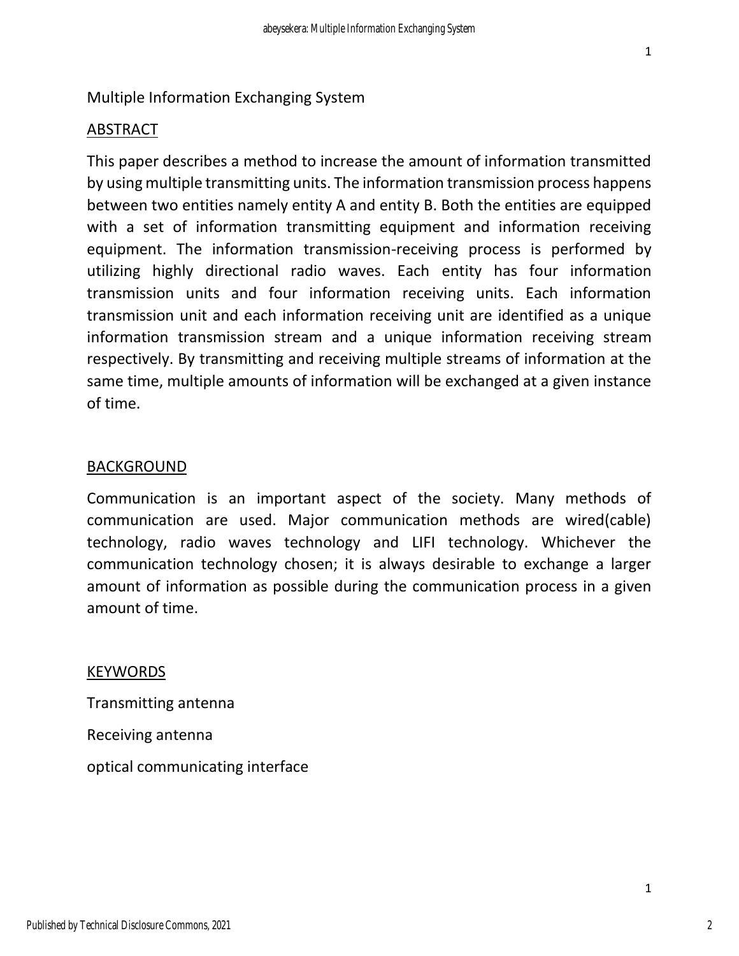#### Multiple Information Exchanging System

#### ABSTRACT

This paper describes a method to increase the amount of information transmitted by using multiple transmitting units. The information transmission process happens between two entities namely entity A and entity B. Both the entities are equipped with a set of information transmitting equipment and information receiving equipment. The information transmission-receiving process is performed by utilizing highly directional radio waves. Each entity has four information transmission units and four information receiving units. Each information transmission unit and each information receiving unit are identified as a unique information transmission stream and a unique information receiving stream respectively. By transmitting and receiving multiple streams of information at the same time, multiple amounts of information will be exchanged at a given instance of time.

#### BACKGROUND

Communication is an important aspect of the society. Many methods of communication are used. Major communication methods are wired(cable) technology, radio waves technology and LIFI technology. Whichever the communication technology chosen; it is always desirable to exchange a larger amount of information as possible during the communication process in a given amount of time.

#### KEYWORDS

Transmitting antenna Receiving antenna optical communicating interface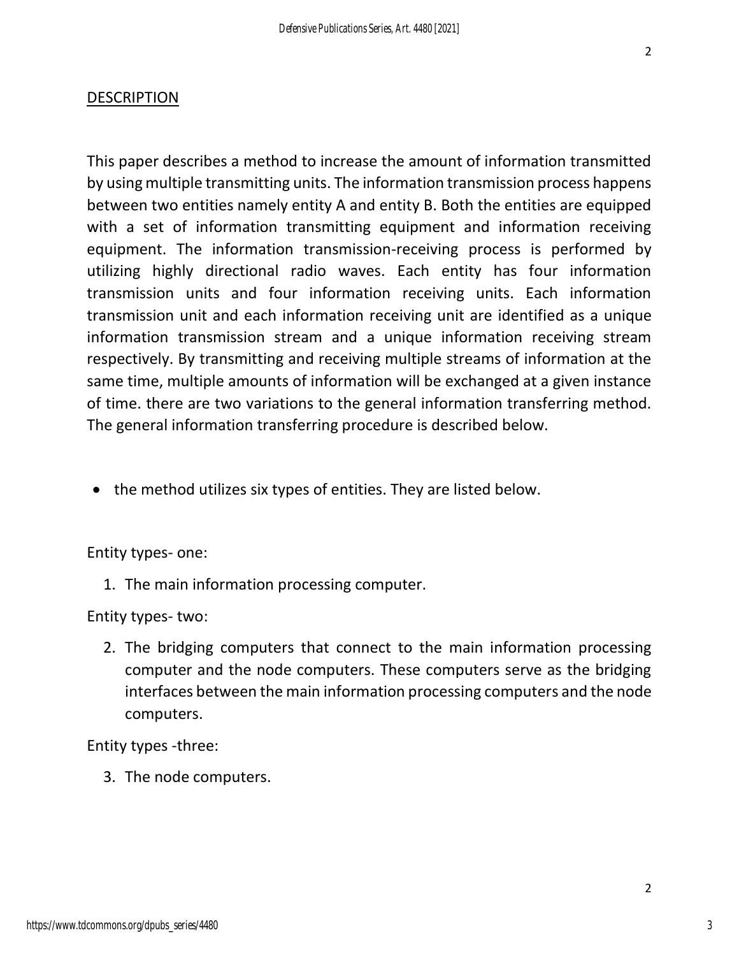#### **DESCRIPTION**

This paper describes a method to increase the amount of information transmitted by using multiple transmitting units. The information transmission process happens between two entities namely entity A and entity B. Both the entities are equipped with a set of information transmitting equipment and information receiving equipment. The information transmission-receiving process is performed by utilizing highly directional radio waves. Each entity has four information transmission units and four information receiving units. Each information transmission unit and each information receiving unit are identified as a unique information transmission stream and a unique information receiving stream respectively. By transmitting and receiving multiple streams of information at the same time, multiple amounts of information will be exchanged at a given instance of time. there are two variations to the general information transferring method. The general information transferring procedure is described below.

• the method utilizes six types of entities. They are listed below.

Entity types- one:

1. The main information processing computer.

Entity types- two:

2. The bridging computers that connect to the main information processing computer and the node computers. These computers serve as the bridging interfaces between the main information processing computers and the node computers.

Entity types -three:

3. The node computers.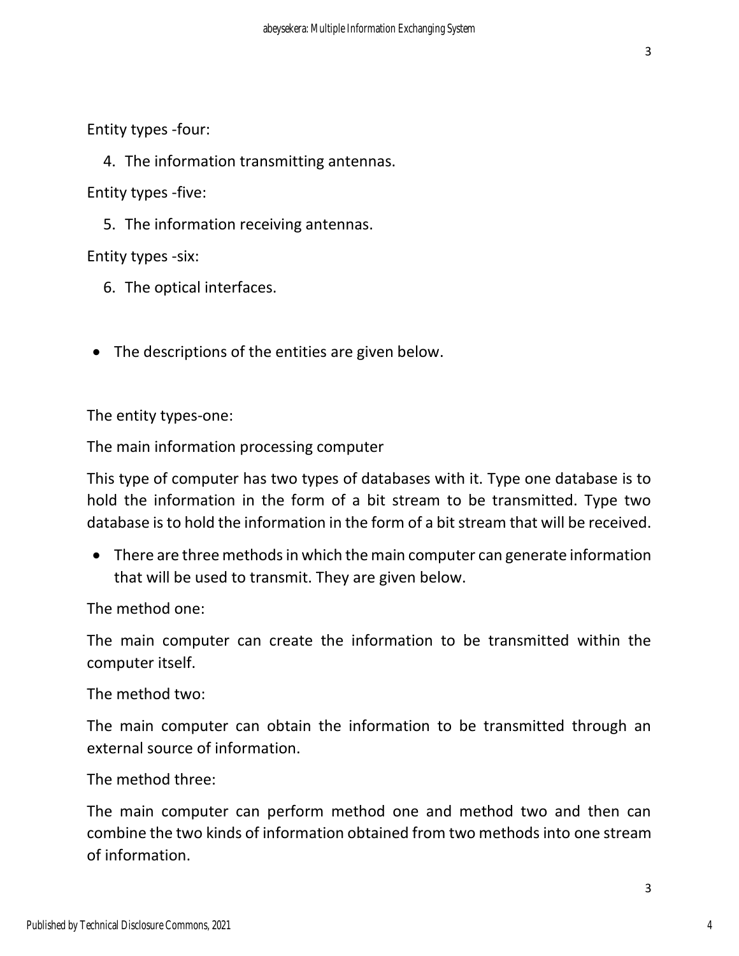Entity types -four:

4. The information transmitting antennas.

Entity types -five:

5. The information receiving antennas.

Entity types -six:

6. The optical interfaces.

• The descriptions of the entities are given below.

The entity types-one:

The main information processing computer

This type of computer has two types of databases with it. Type one database is to hold the information in the form of a bit stream to be transmitted. Type two database is to hold the information in the form of a bit stream that will be received.

• There are three methods in which the main computer can generate information that will be used to transmit. They are given below.

The method one:

The main computer can create the information to be transmitted within the computer itself.

The method two:

The main computer can obtain the information to be transmitted through an external source of information.

The method three:

The main computer can perform method one and method two and then can combine the two kinds of information obtained from two methods into one stream of information.

4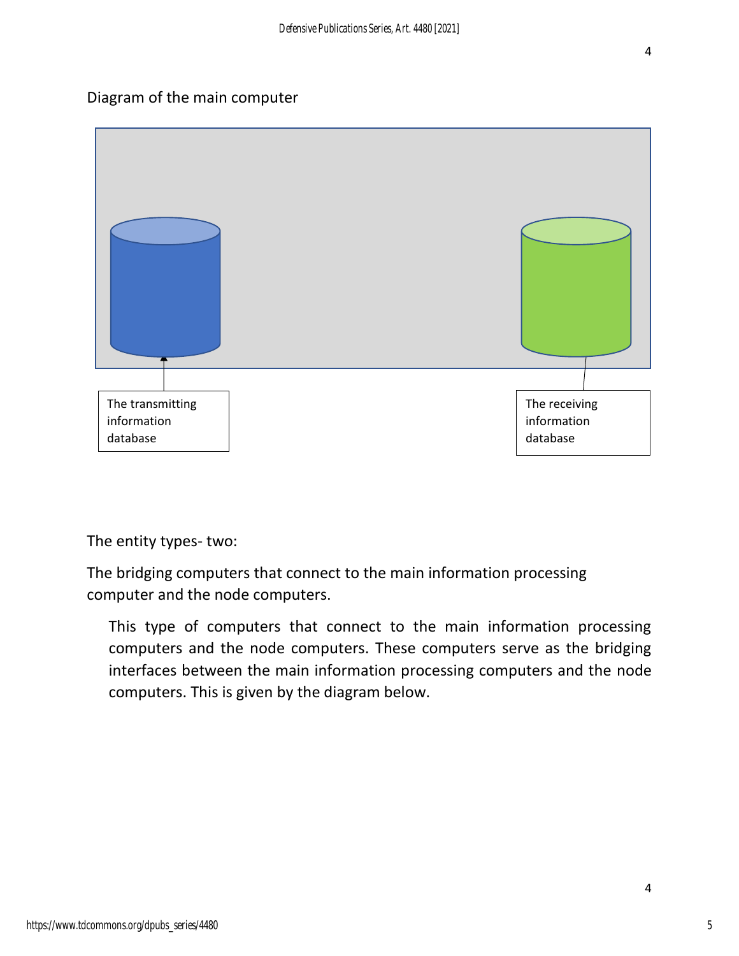### Diagram of the main computer



The entity types- two:

The bridging computers that connect to the main information processing computer and the node computers.

This type of computers that connect to the main information processing computers and the node computers. These computers serve as the bridging interfaces between the main information processing computers and the node computers. This is given by the diagram below.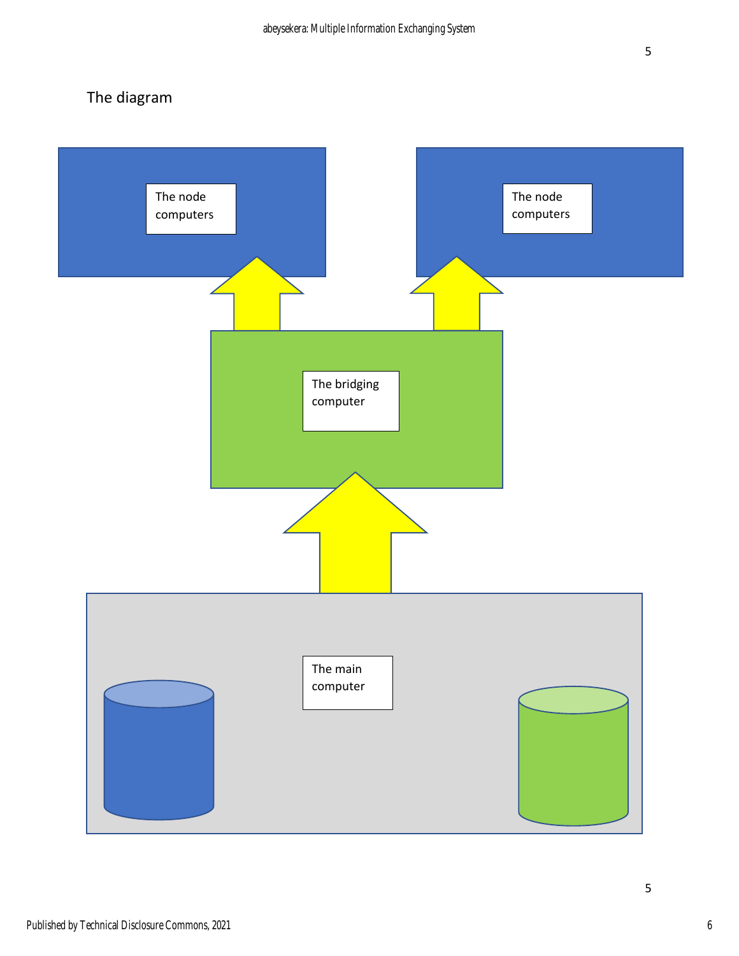# The diagram

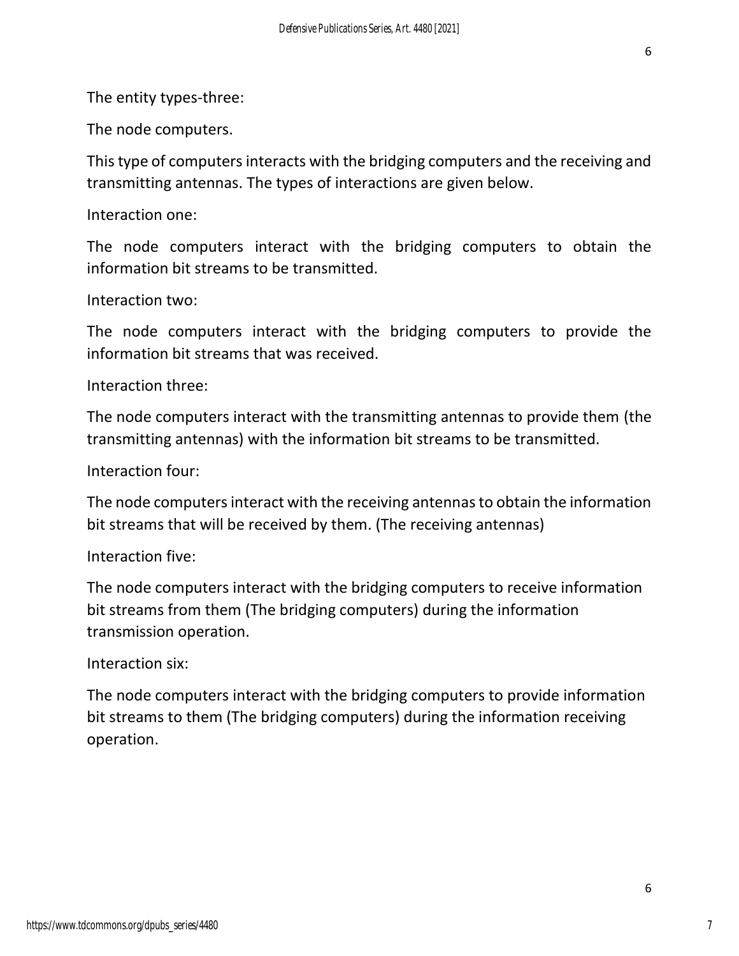The entity types-three:

The node computers.

This type of computers interacts with the bridging computers and the receiving and transmitting antennas. The types of interactions are given below.

Interaction one:

The node computers interact with the bridging computers to obtain the information bit streams to be transmitted.

### Interaction two:

The node computers interact with the bridging computers to provide the information bit streams that was received.

Interaction three:

The node computers interact with the transmitting antennas to provide them (the transmitting antennas) with the information bit streams to be transmitted.

Interaction four:

The node computers interact with the receiving antennas to obtain the information bit streams that will be received by them. (The receiving antennas)

Interaction five:

The node computers interact with the bridging computers to receive information bit streams from them (The bridging computers) during the information transmission operation.

Interaction six:

The node computers interact with the bridging computers to provide information bit streams to them (The bridging computers) during the information receiving operation.

7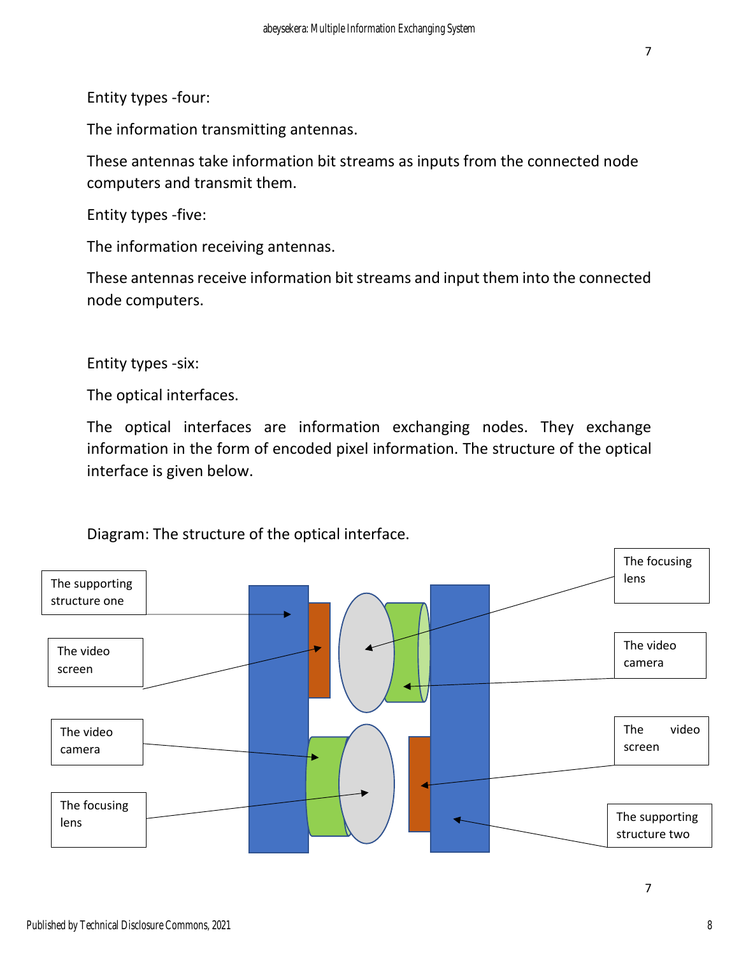Entity types -four:

The information transmitting antennas.

These antennas take information bit streams as inputs from the connected node computers and transmit them.

Entity types -five:

The information receiving antennas.

These antennas receive information bit streams and input them into the connected node computers.

Entity types -six:

The optical interfaces.

The optical interfaces are information exchanging nodes. They exchange information in the form of encoded pixel information. The structure of the optical interface is given below.



Diagram: The structure of the optical interface.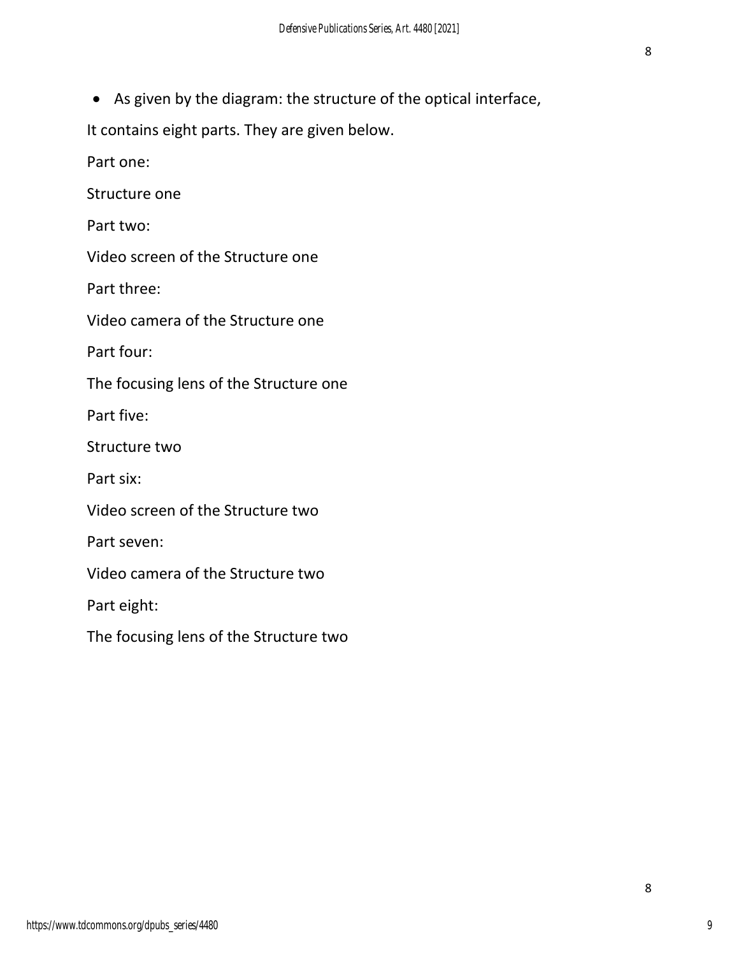• As given by the diagram: the structure of the optical interface,

It contains eight parts. They are given below.

Part one:

Structure one

Part two:

Video screen of the Structure one

Part three:

Video camera of the Structure one

Part four:

The focusing lens of the Structure one

Part five:

Structure two

Part six:

Video screen of the Structure two

Part seven:

Video camera of the Structure two

Part eight:

The focusing lens of the Structure two

8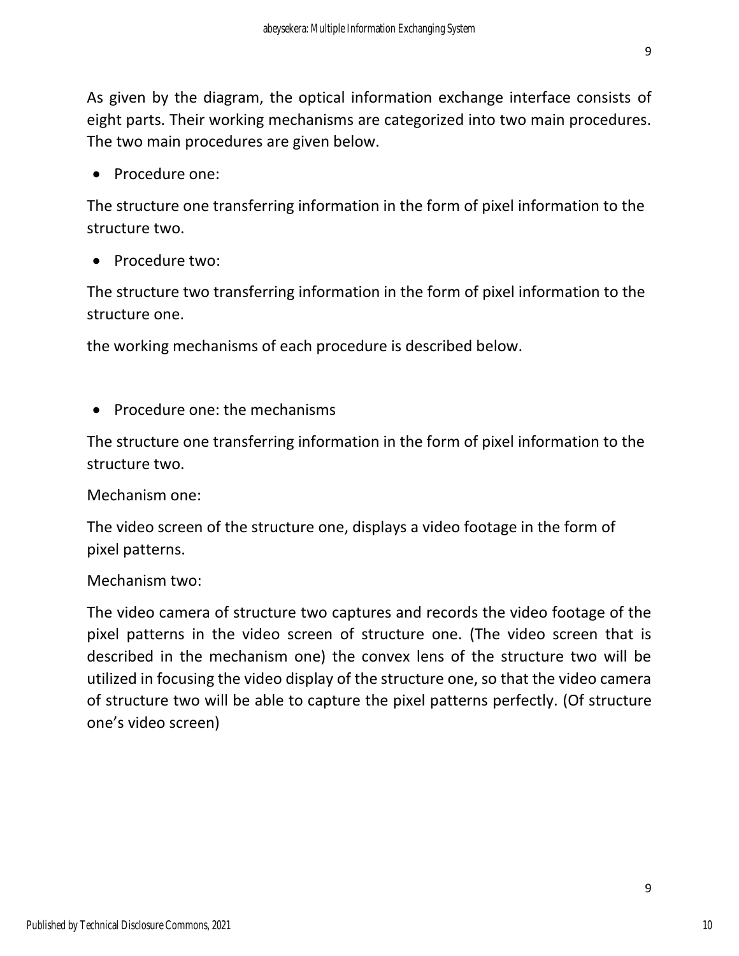As given by the diagram, the optical information exchange interface consists of eight parts. Their working mechanisms are categorized into two main procedures. The two main procedures are given below.

• Procedure one:

The structure one transferring information in the form of pixel information to the structure two.

• Procedure two:

The structure two transferring information in the form of pixel information to the structure one.

the working mechanisms of each procedure is described below.

• Procedure one: the mechanisms

The structure one transferring information in the form of pixel information to the structure two.

Mechanism one:

The video screen of the structure one, displays a video footage in the form of pixel patterns.

#### Mechanism two:

The video camera of structure two captures and records the video footage of the pixel patterns in the video screen of structure one. (The video screen that is described in the mechanism one) the convex lens of the structure two will be utilized in focusing the video display of the structure one, so that the video camera of structure two will be able to capture the pixel patterns perfectly. (Of structure one's video screen)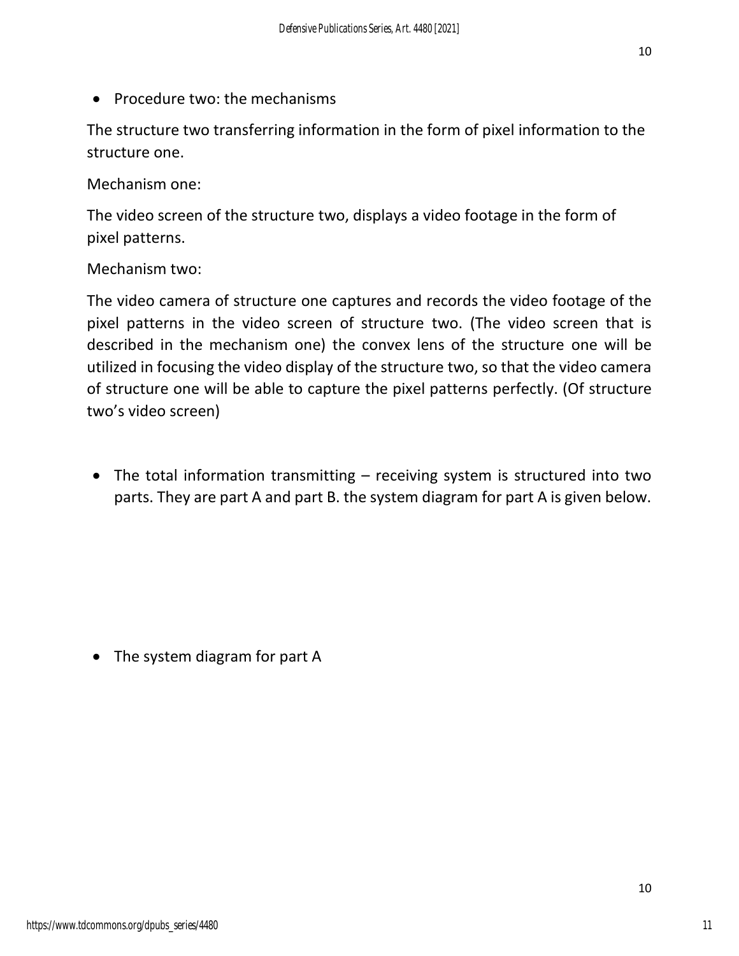• Procedure two: the mechanisms

The structure two transferring information in the form of pixel information to the structure one.

Mechanism one:

The video screen of the structure two, displays a video footage in the form of pixel patterns.

Mechanism two:

The video camera of structure one captures and records the video footage of the pixel patterns in the video screen of structure two. (The video screen that is described in the mechanism one) the convex lens of the structure one will be utilized in focusing the video display of the structure two, so that the video camera of structure one will be able to capture the pixel patterns perfectly. (Of structure two's video screen)

• The total information transmitting – receiving system is structured into two parts. They are part A and part B. the system diagram for part A is given below.

• The system diagram for part A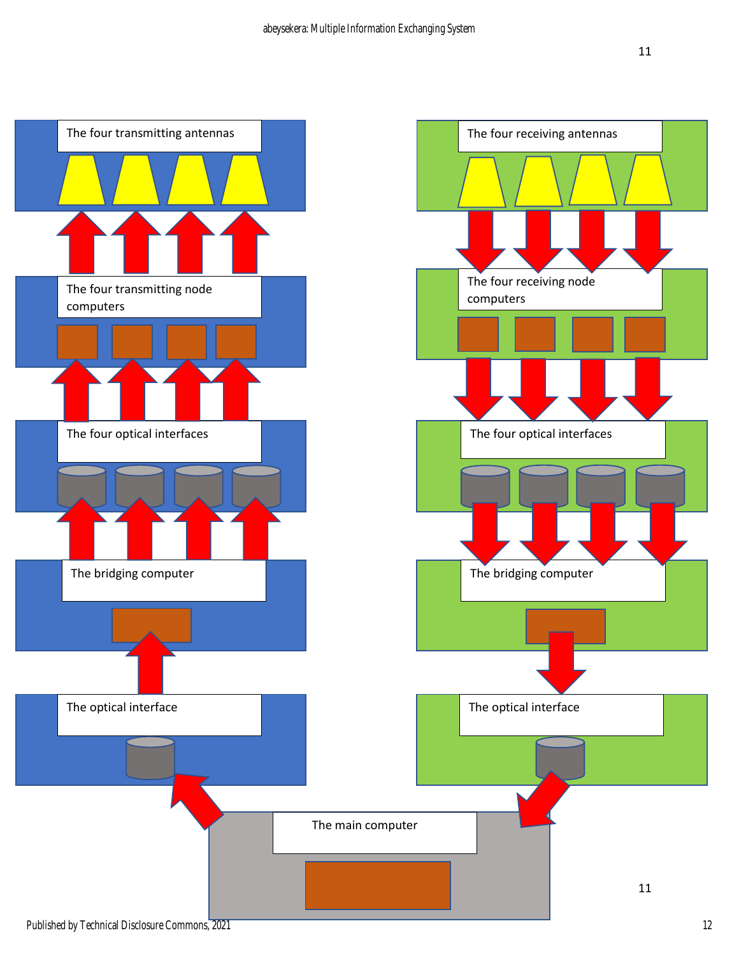

Published by Technical Disclosure Commons, 2021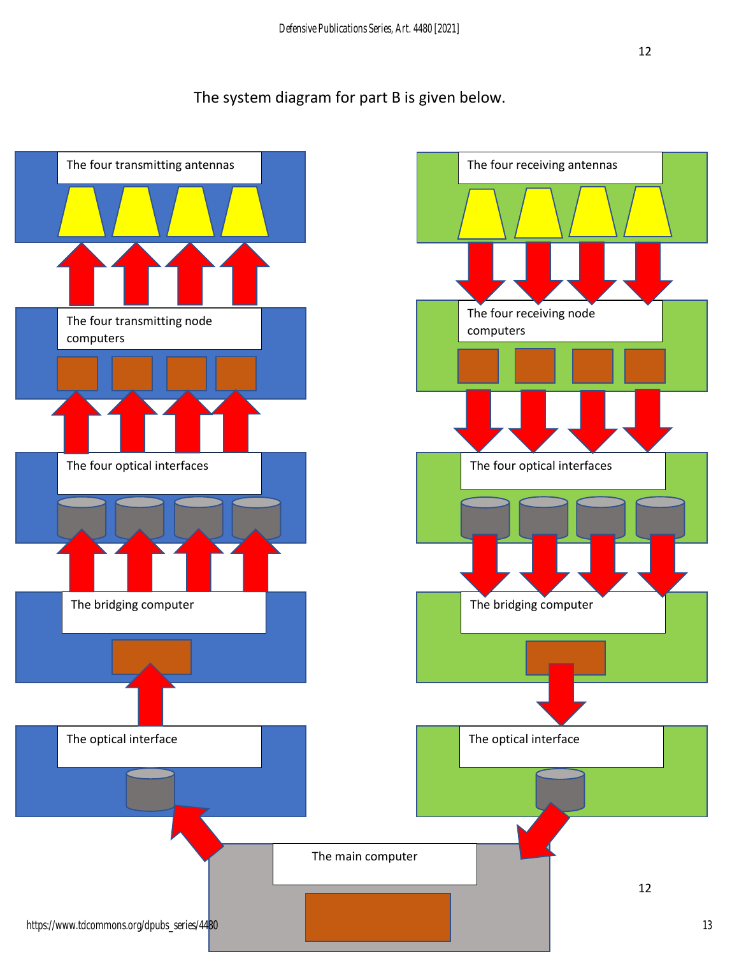## The system diagram for part B is given below.

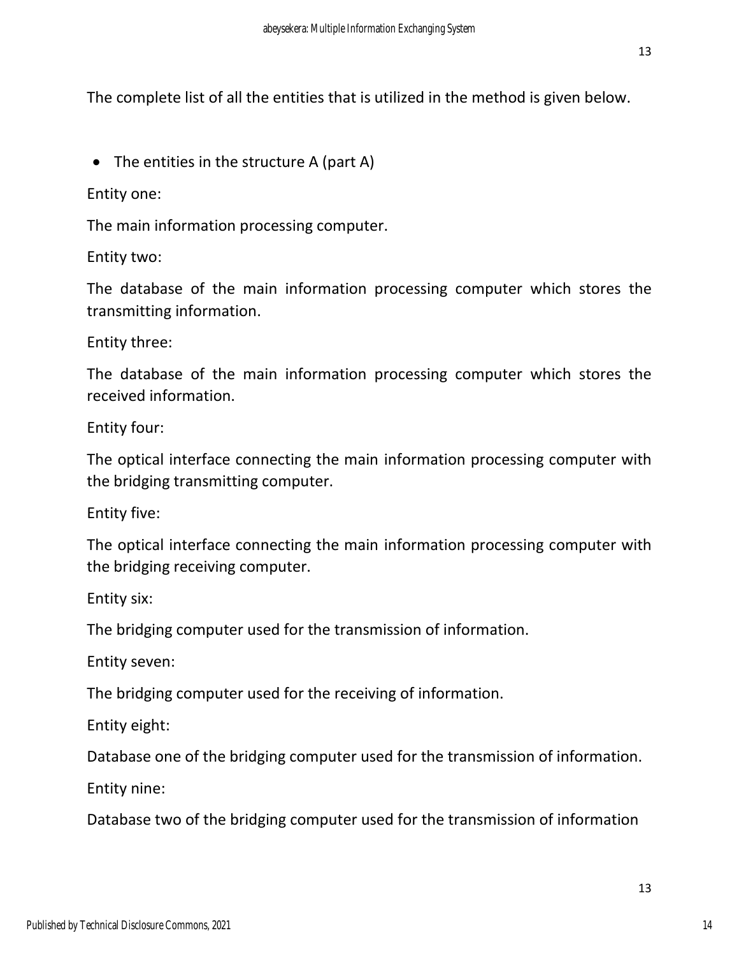The complete list of all the entities that is utilized in the method is given below.

• The entities in the structure A (part A)

Entity one:

The main information processing computer.

Entity two:

The database of the main information processing computer which stores the transmitting information.

Entity three:

The database of the main information processing computer which stores the received information.

Entity four:

The optical interface connecting the main information processing computer with the bridging transmitting computer.

Entity five:

The optical interface connecting the main information processing computer with the bridging receiving computer.

Entity six:

The bridging computer used for the transmission of information.

Entity seven:

The bridging computer used for the receiving of information.

Entity eight:

Database one of the bridging computer used for the transmission of information.

Entity nine:

Database two of the bridging computer used for the transmission of information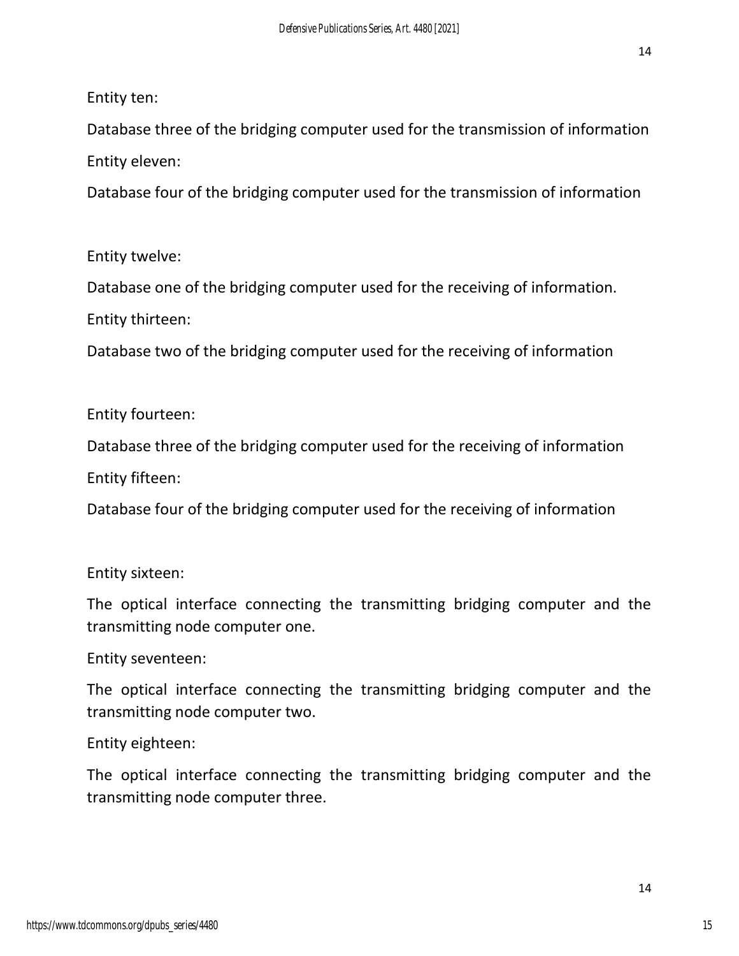Entity ten:

Database three of the bridging computer used for the transmission of information Entity eleven:

Database four of the bridging computer used for the transmission of information

Entity twelve:

Database one of the bridging computer used for the receiving of information.

Entity thirteen:

Database two of the bridging computer used for the receiving of information

Entity fourteen:

Database three of the bridging computer used for the receiving of information

Entity fifteen:

Database four of the bridging computer used for the receiving of information

Entity sixteen:

The optical interface connecting the transmitting bridging computer and the transmitting node computer one.

Entity seventeen:

The optical interface connecting the transmitting bridging computer and the transmitting node computer two.

Entity eighteen:

The optical interface connecting the transmitting bridging computer and the transmitting node computer three.

15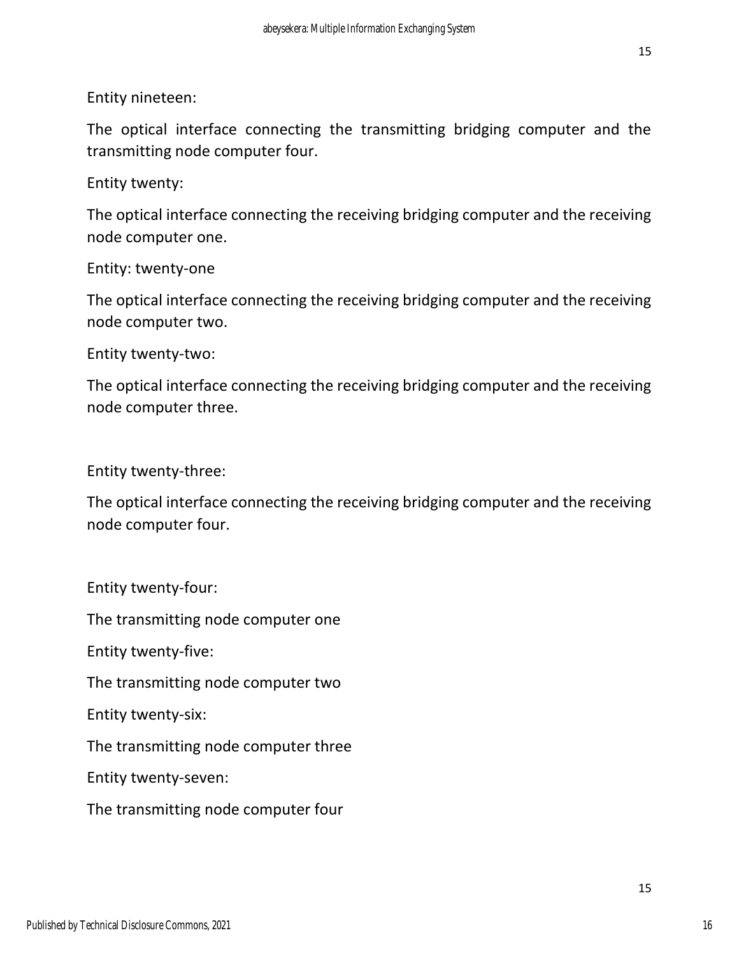Entity nineteen:

The optical interface connecting the transmitting bridging computer and the transmitting node computer four.

Entity twenty:

The optical interface connecting the receiving bridging computer and the receiving node computer one.

Entity: twenty-one

The optical interface connecting the receiving bridging computer and the receiving node computer two.

Entity twenty-two:

The optical interface connecting the receiving bridging computer and the receiving node computer three.

Entity twenty-three:

The optical interface connecting the receiving bridging computer and the receiving node computer four.

Entity twenty-four: The transmitting node computer one Entity twenty-five: The transmitting node computer two Entity twenty-six: The transmitting node computer three Entity twenty-seven: The transmitting node computer four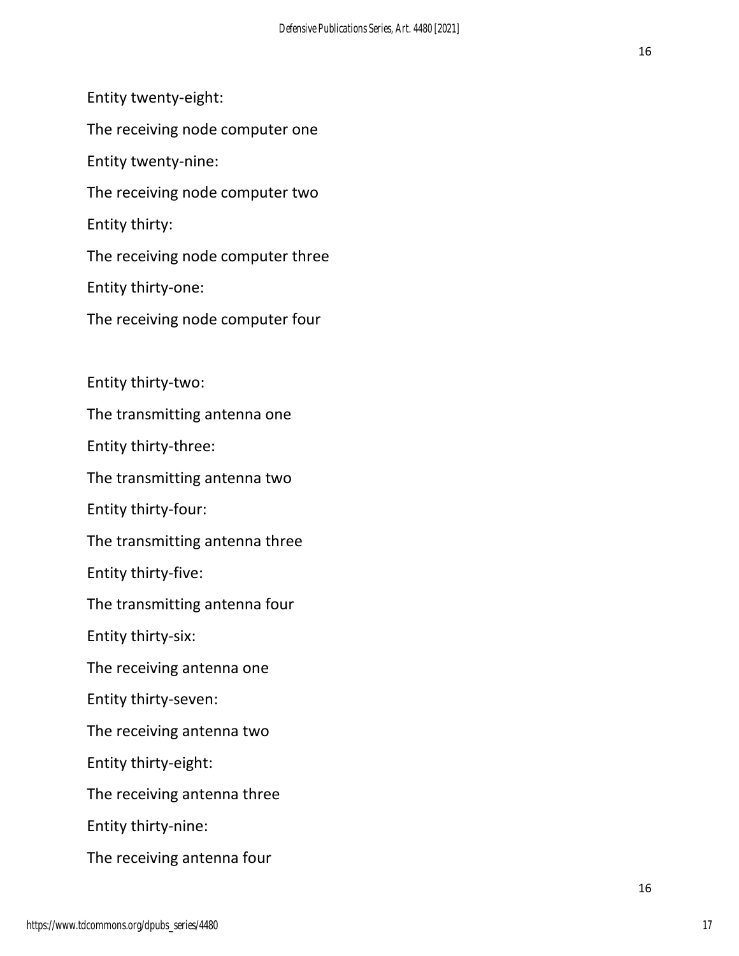Entity twenty-eight: The receiving node computer one Entity twenty-nine: The receiving node computer two Entity thirty: The receiving node computer three Entity thirty-one: The receiving node computer four Entity thirty-two: The transmitting antenna one Entity thirty-three: The transmitting antenna two Entity thirty-four: The transmitting antenna three Entity thirty-five: The transmitting antenna four Entity thirty-six: The receiving antenna one Entity thirty-seven: The receiving antenna two Entity thirty-eight:

The receiving antenna three

Entity thirty-nine:

The receiving antenna four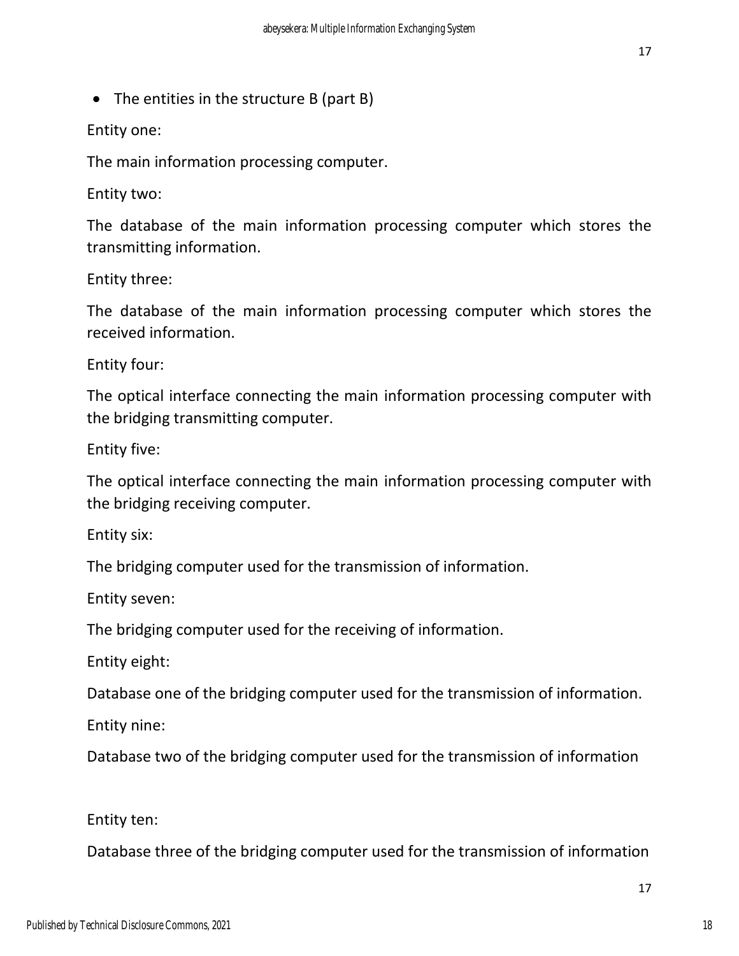• The entities in the structure B (part B)

Entity one:

The main information processing computer.

Entity two:

The database of the main information processing computer which stores the transmitting information.

Entity three:

The database of the main information processing computer which stores the received information.

Entity four:

The optical interface connecting the main information processing computer with the bridging transmitting computer.

Entity five:

The optical interface connecting the main information processing computer with the bridging receiving computer.

Entity six:

The bridging computer used for the transmission of information.

Entity seven:

The bridging computer used for the receiving of information.

Entity eight:

Database one of the bridging computer used for the transmission of information.

Entity nine:

Database two of the bridging computer used for the transmission of information

Entity ten:

Database three of the bridging computer used for the transmission of information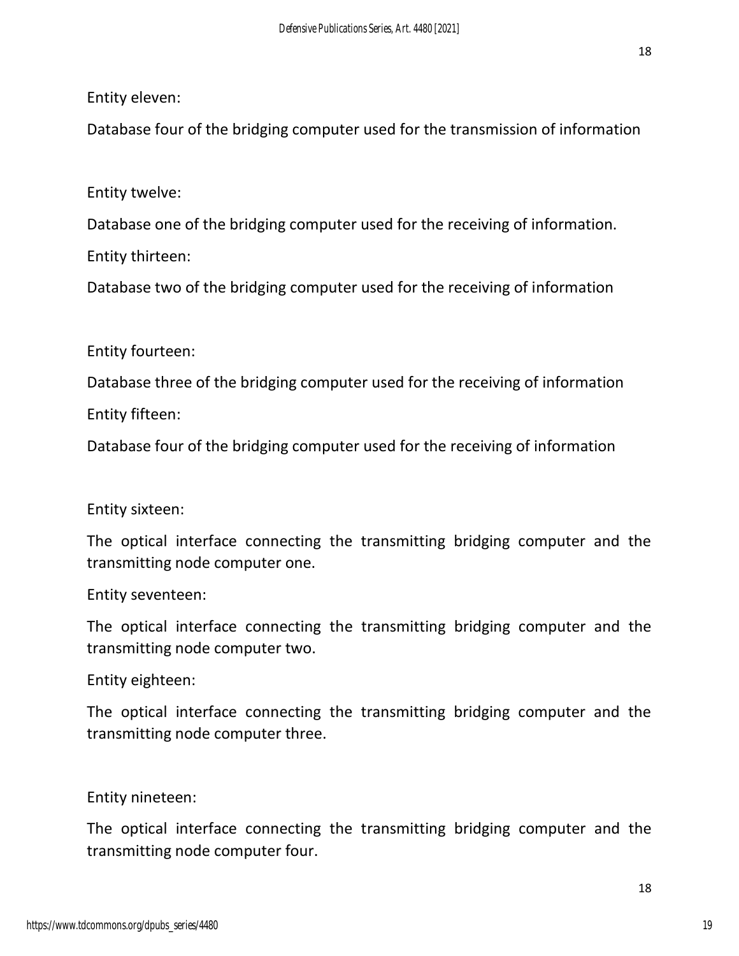#### Entity eleven:

Database four of the bridging computer used for the transmission of information

### Entity twelve:

Database one of the bridging computer used for the receiving of information. Entity thirteen:

Database two of the bridging computer used for the receiving of information

### Entity fourteen:

Database three of the bridging computer used for the receiving of information Entity fifteen:

Database four of the bridging computer used for the receiving of information

#### Entity sixteen:

The optical interface connecting the transmitting bridging computer and the transmitting node computer one.

#### Entity seventeen:

The optical interface connecting the transmitting bridging computer and the transmitting node computer two.

#### Entity eighteen:

The optical interface connecting the transmitting bridging computer and the transmitting node computer three.

#### Entity nineteen:

The optical interface connecting the transmitting bridging computer and the transmitting node computer four.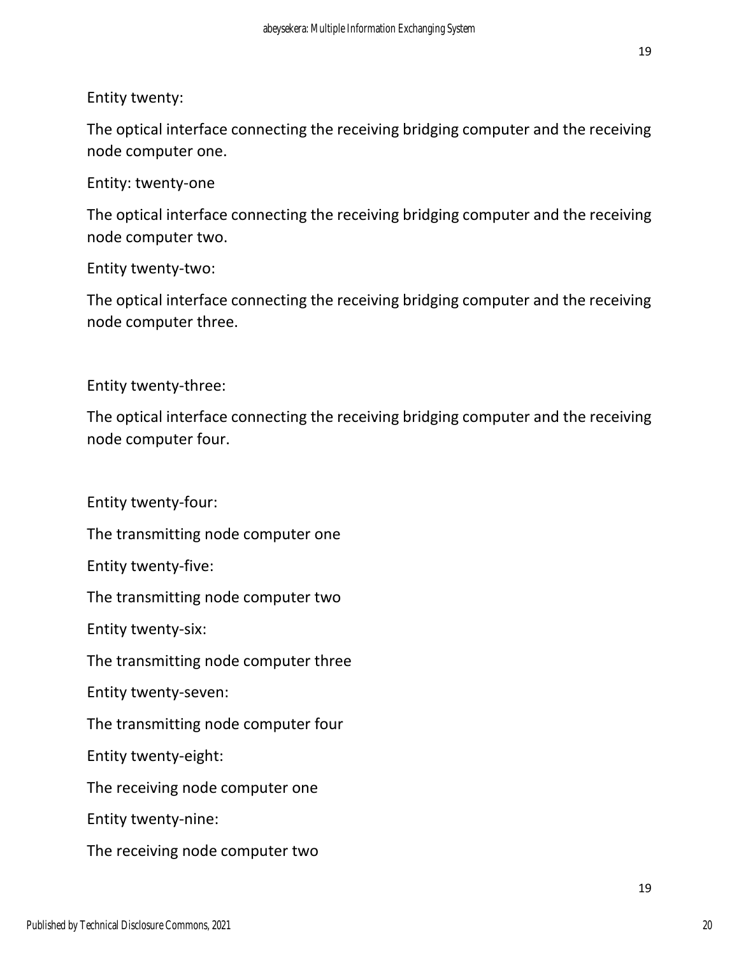Entity twenty:

The optical interface connecting the receiving bridging computer and the receiving node computer one.

Entity: twenty-one

The optical interface connecting the receiving bridging computer and the receiving node computer two.

Entity twenty-two:

The optical interface connecting the receiving bridging computer and the receiving node computer three.

Entity twenty-three:

The optical interface connecting the receiving bridging computer and the receiving node computer four.

Entity twenty-four:

The transmitting node computer one

Entity twenty-five:

The transmitting node computer two

Entity twenty-six:

The transmitting node computer three

Entity twenty-seven:

The transmitting node computer four

Entity twenty-eight:

The receiving node computer one

Entity twenty-nine:

The receiving node computer two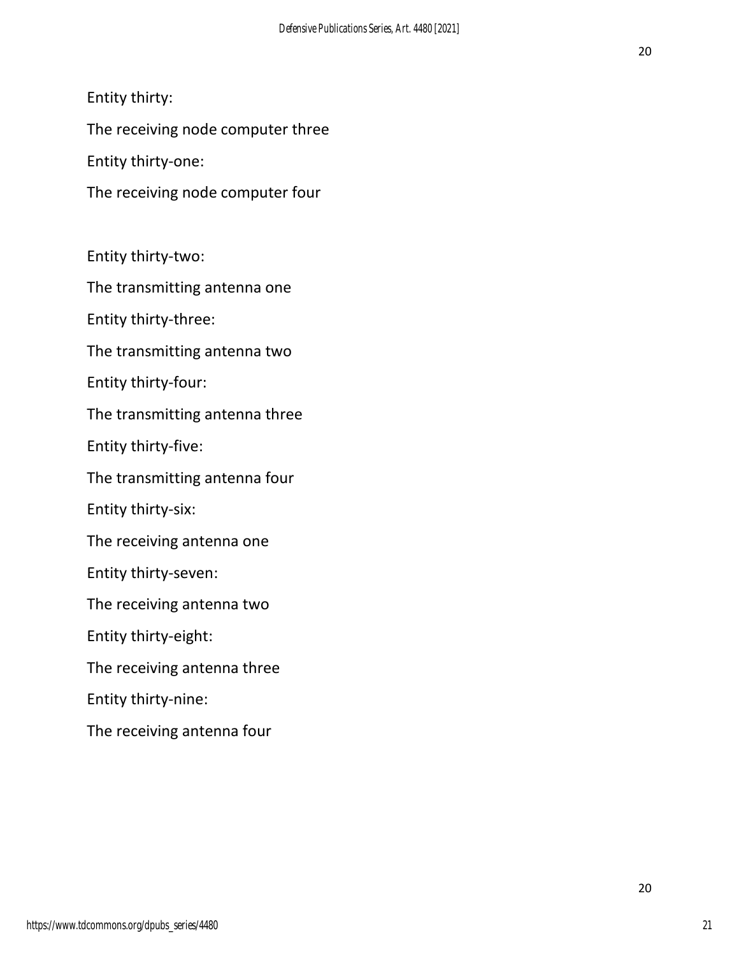Entity thirty:

The receiving node computer three

Entity thirty-one:

The receiving node computer four

Entity thirty-two:

The transmitting antenna one

Entity thirty-three:

The transmitting antenna two

Entity thirty-four:

The transmitting antenna three

Entity thirty-five:

The transmitting antenna four

Entity thirty-six:

The receiving antenna one

Entity thirty-seven:

The receiving antenna two

Entity thirty-eight:

The receiving antenna three

Entity thirty-nine:

The receiving antenna four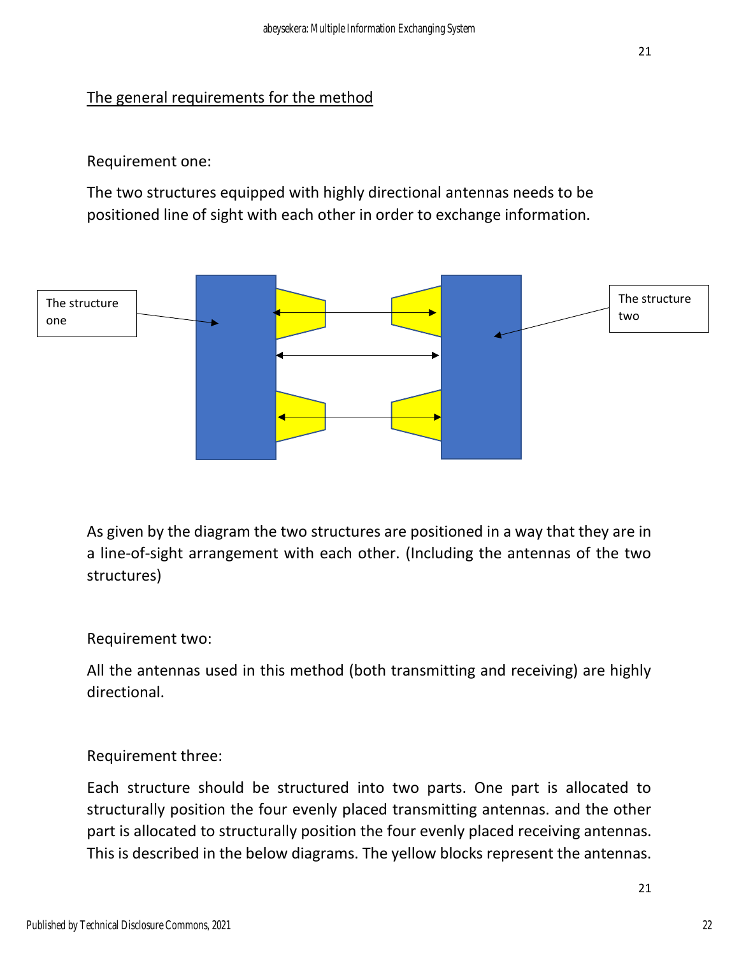## The general requirements for the method

#### Requirement one:

The two structures equipped with highly directional antennas needs to be positioned line of sight with each other in order to exchange information.



As given by the diagram the two structures are positioned in a way that they are in a line-of-sight arrangement with each other. (Including the antennas of the two structures)

#### Requirement two:

All the antennas used in this method (both transmitting and receiving) are highly directional.

#### Requirement three:

Each structure should be structured into two parts. One part is allocated to structurally position the four evenly placed transmitting antennas. and the other part is allocated to structurally position the four evenly placed receiving antennas. This is described in the below diagrams. The yellow blocks represent the antennas.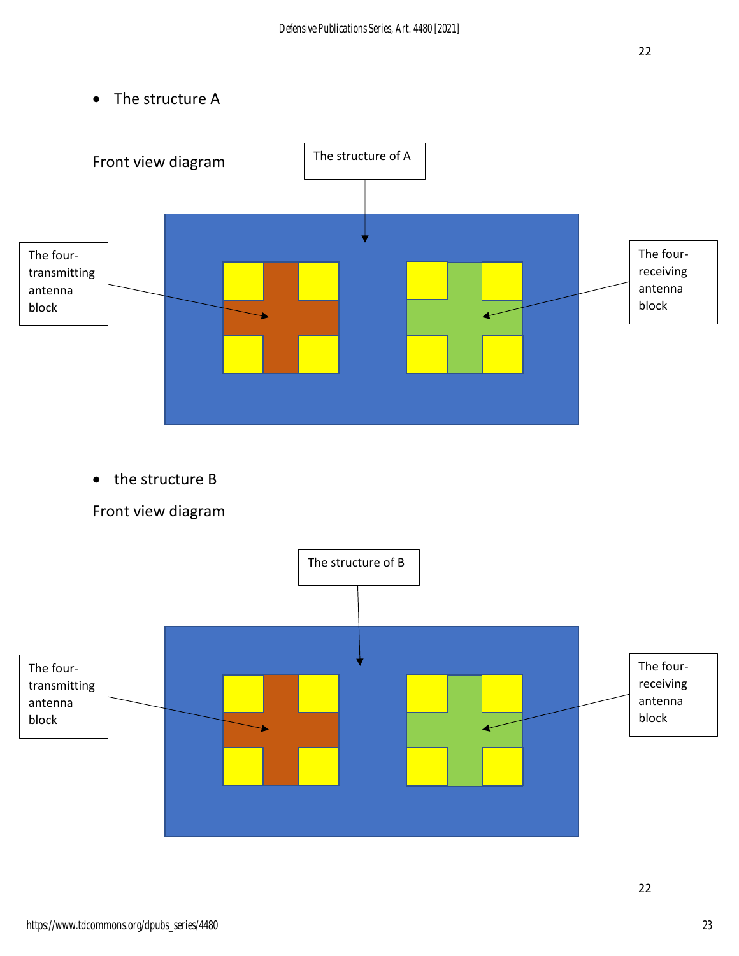• The structure A



• the structure B



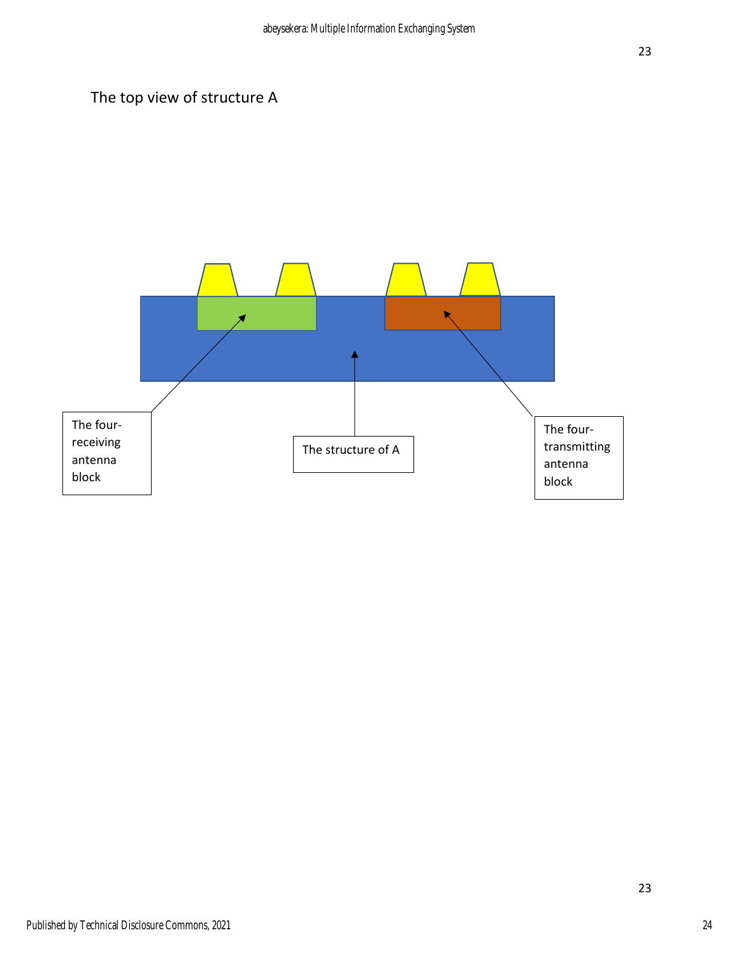# The top view of structure A



23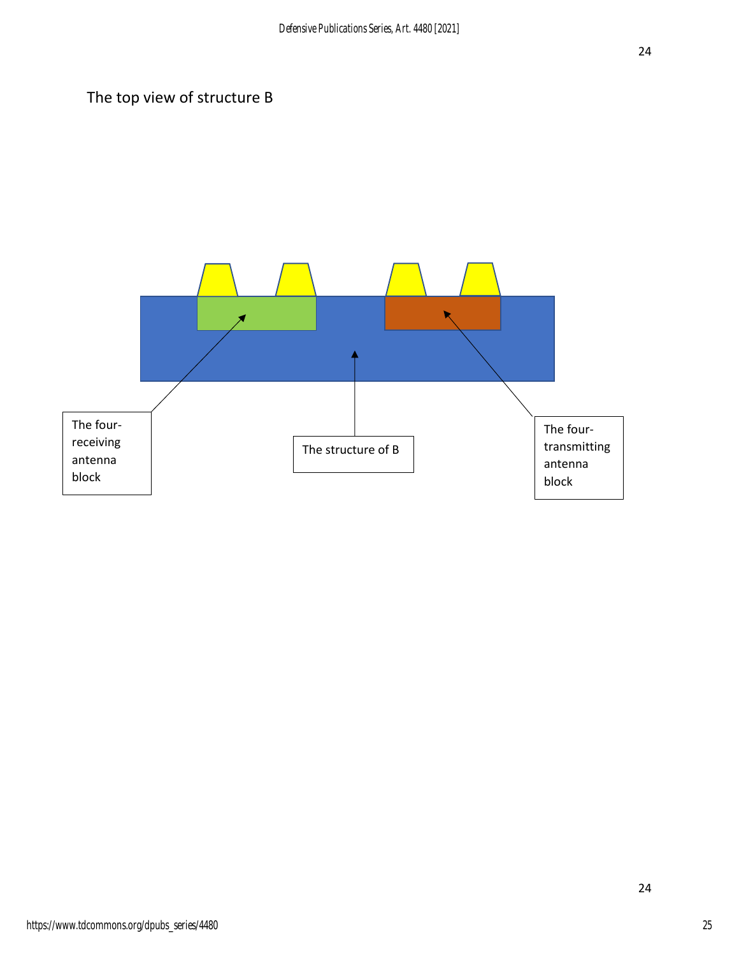# The top view of structure B

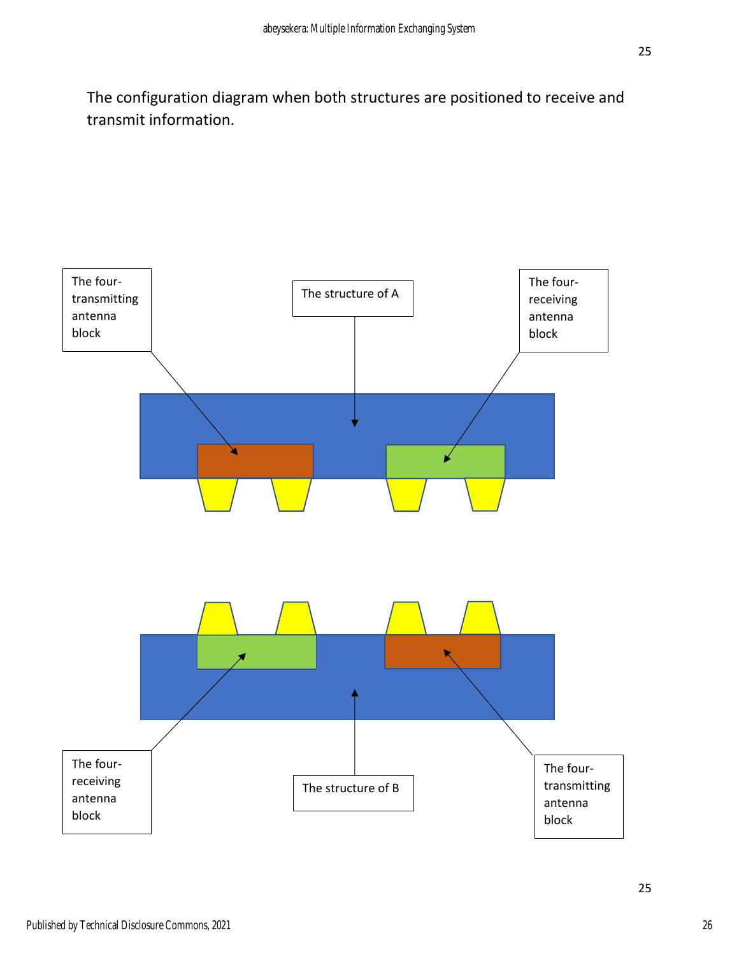The configuration diagram when both structures are positioned to receive and transmit information.

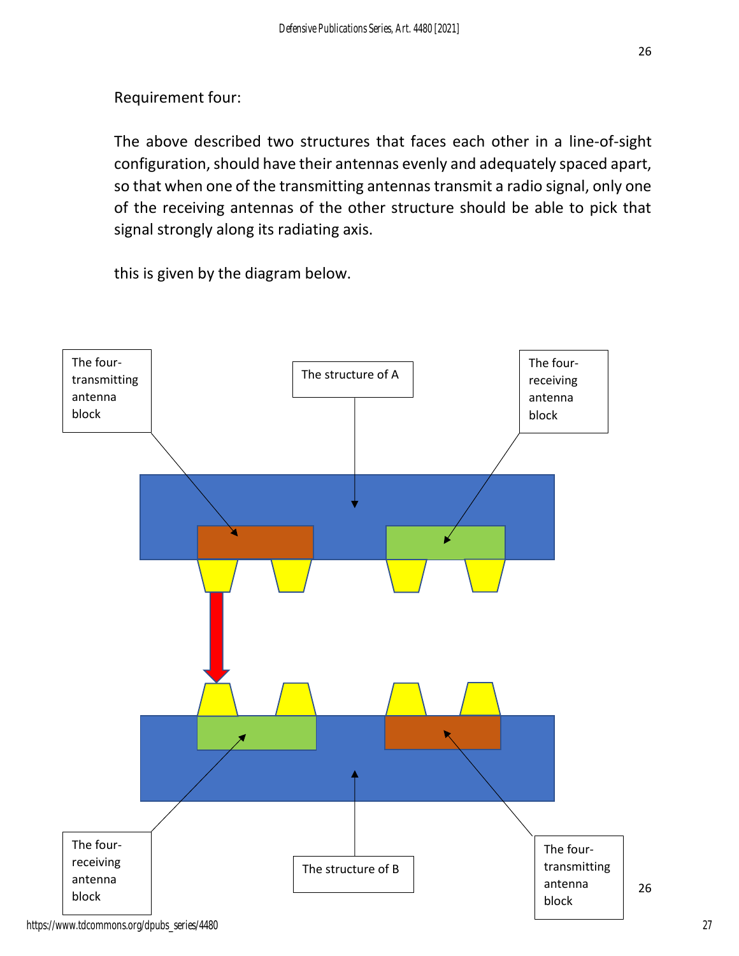## Requirement four:

The above described two structures that faces each other in a line-of-sight configuration, should have their antennas evenly and adequately spaced apart, so that when one of the transmitting antennas transmit a radio signal, only one of the receiving antennas of the other structure should be able to pick that signal strongly along its radiating axis.

this is given by the diagram below.



https://www.tdcommons.org/dpubs\_series/4480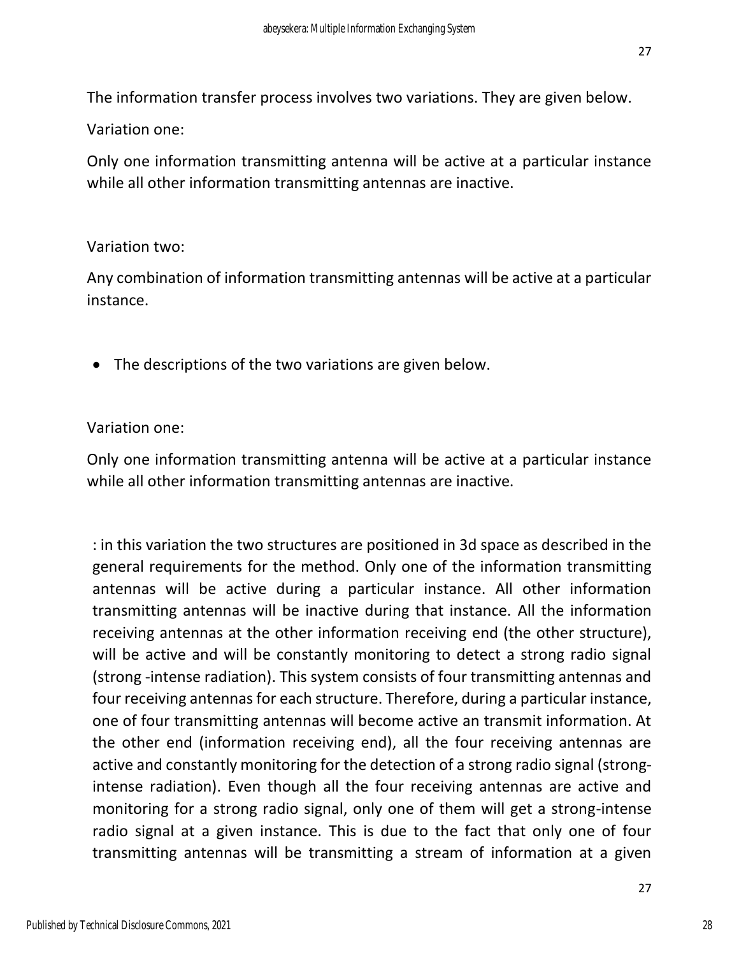The information transfer process involves two variations. They are given below.

Variation one:

Only one information transmitting antenna will be active at a particular instance while all other information transmitting antennas are inactive.

## Variation two:

Any combination of information transmitting antennas will be active at a particular instance.

• The descriptions of the two variations are given below.

Variation one:

Only one information transmitting antenna will be active at a particular instance while all other information transmitting antennas are inactive.

: in this variation the two structures are positioned in 3d space as described in the general requirements for the method. Only one of the information transmitting antennas will be active during a particular instance. All other information transmitting antennas will be inactive during that instance. All the information receiving antennas at the other information receiving end (the other structure), will be active and will be constantly monitoring to detect a strong radio signal (strong -intense radiation). This system consists of four transmitting antennas and four receiving antennas for each structure. Therefore, during a particular instance, one of four transmitting antennas will become active an transmit information. At the other end (information receiving end), all the four receiving antennas are active and constantly monitoring for the detection of a strong radio signal (strongintense radiation). Even though all the four receiving antennas are active and monitoring for a strong radio signal, only one of them will get a strong-intense radio signal at a given instance. This is due to the fact that only one of four transmitting antennas will be transmitting a stream of information at a given

28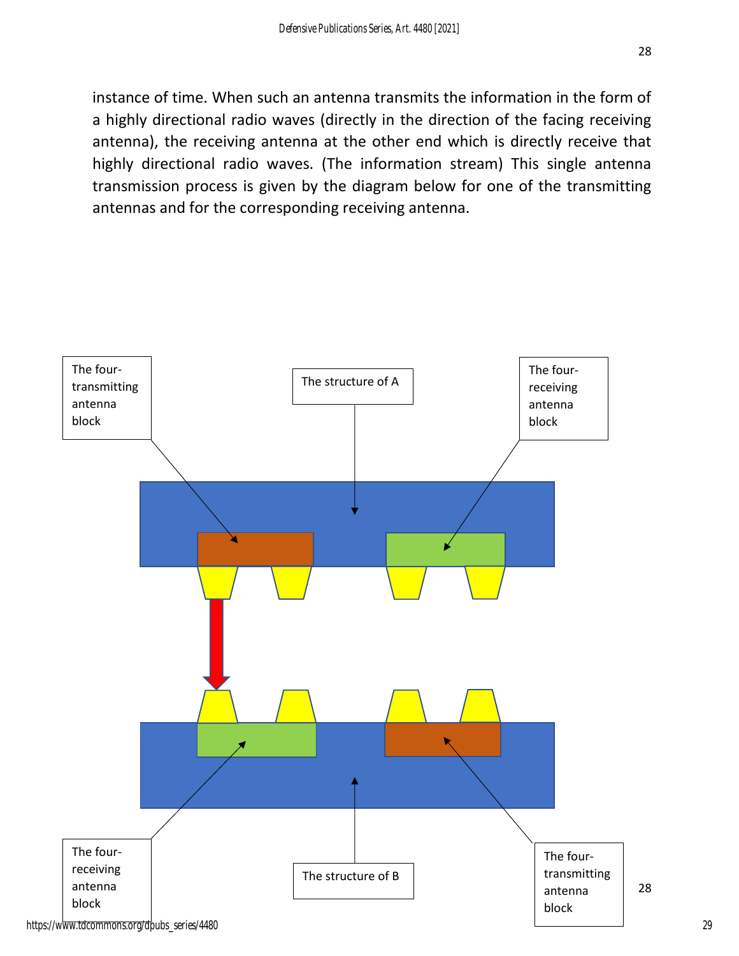28

instance of time. When such an antenna transmits the information in the form of a highly directional radio waves (directly in the direction of the facing receiving antenna), the receiving antenna at the other end which is directly receive that highly directional radio waves. (The information stream) This single antenna transmission process is given by the diagram below for one of the transmitting antennas and for the corresponding receiving antenna.

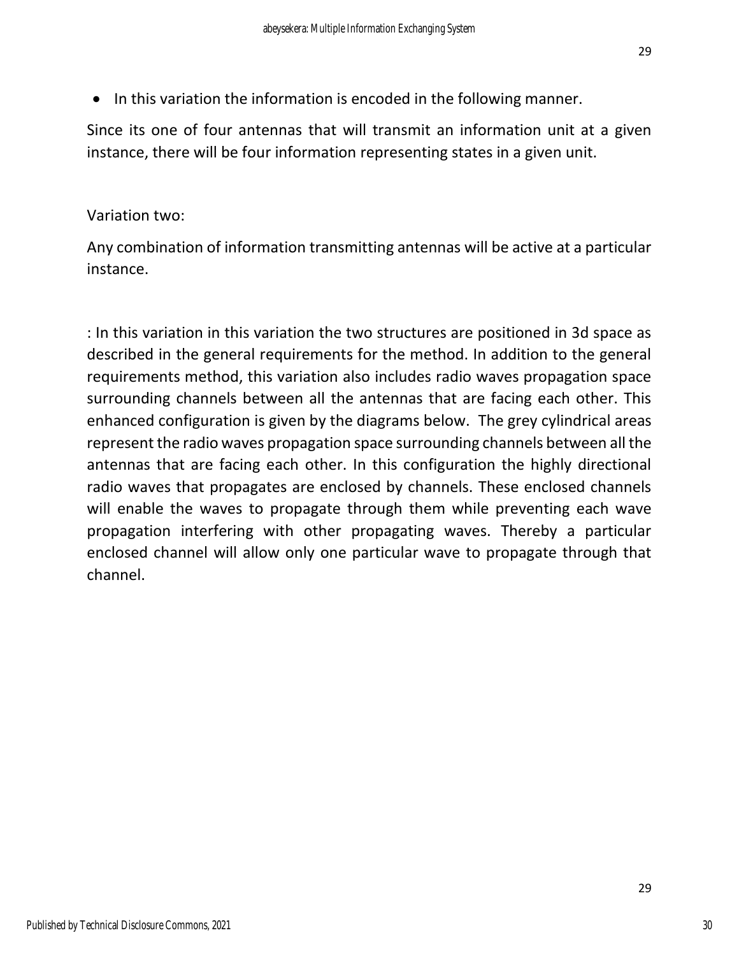• In this variation the information is encoded in the following manner.

Since its one of four antennas that will transmit an information unit at a given instance, there will be four information representing states in a given unit.

## Variation two:

Any combination of information transmitting antennas will be active at a particular instance.

: In this variation in this variation the two structures are positioned in 3d space as described in the general requirements for the method. In addition to the general requirements method, this variation also includes radio waves propagation space surrounding channels between all the antennas that are facing each other. This enhanced configuration is given by the diagrams below. The grey cylindrical areas represent the radio waves propagation space surrounding channels between all the antennas that are facing each other. In this configuration the highly directional radio waves that propagates are enclosed by channels. These enclosed channels will enable the waves to propagate through them while preventing each wave propagation interfering with other propagating waves. Thereby a particular enclosed channel will allow only one particular wave to propagate through that channel.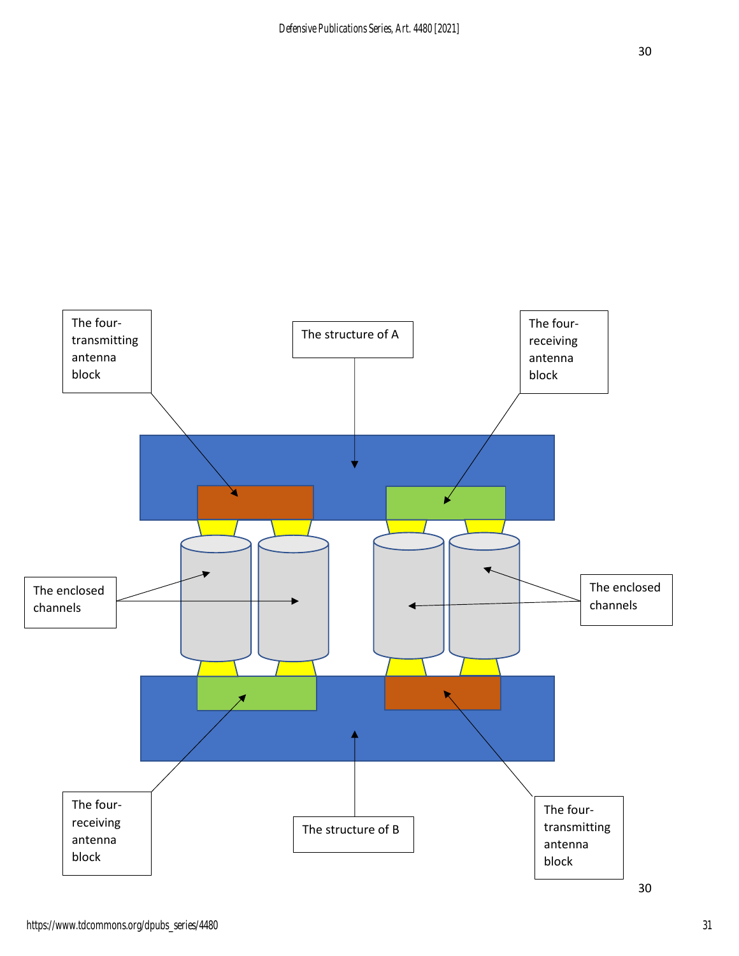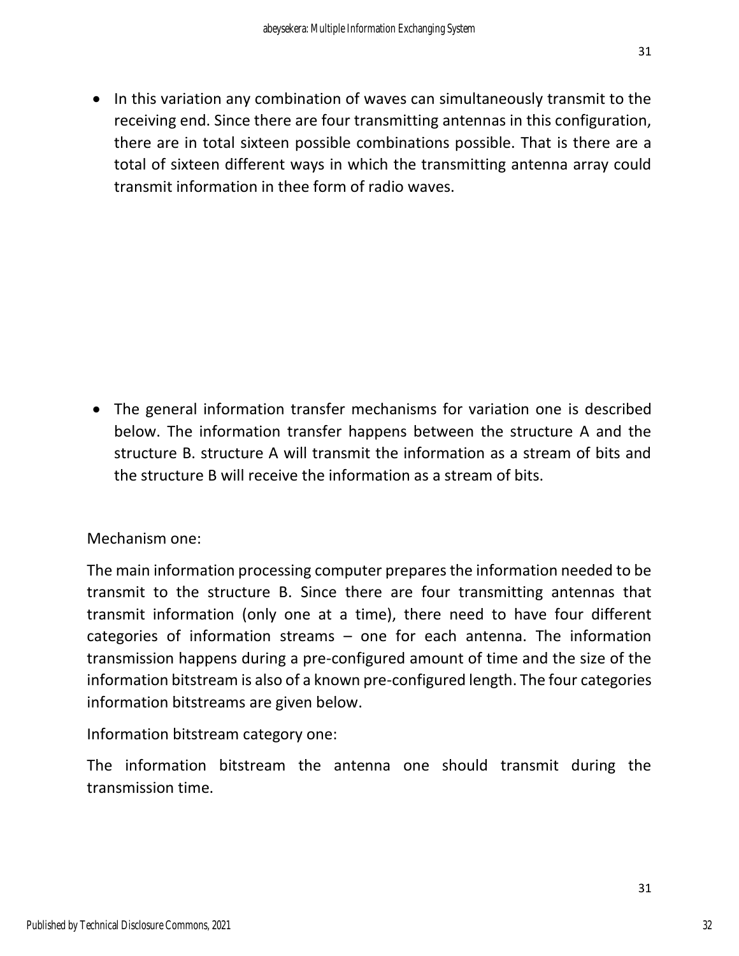• In this variation any combination of waves can simultaneously transmit to the receiving end. Since there are four transmitting antennas in this configuration, there are in total sixteen possible combinations possible. That is there are a total of sixteen different ways in which the transmitting antenna array could transmit information in thee form of radio waves.

• The general information transfer mechanisms for variation one is described below. The information transfer happens between the structure A and the structure B. structure A will transmit the information as a stream of bits and the structure B will receive the information as a stream of bits.

Mechanism one:

The main information processing computer prepares the information needed to be transmit to the structure B. Since there are four transmitting antennas that transmit information (only one at a time), there need to have four different categories of information streams – one for each antenna. The information transmission happens during a pre-configured amount of time and the size of the information bitstream is also of a known pre-configured length. The four categories information bitstreams are given below.

Information bitstream category one:

The information bitstream the antenna one should transmit during the transmission time.

32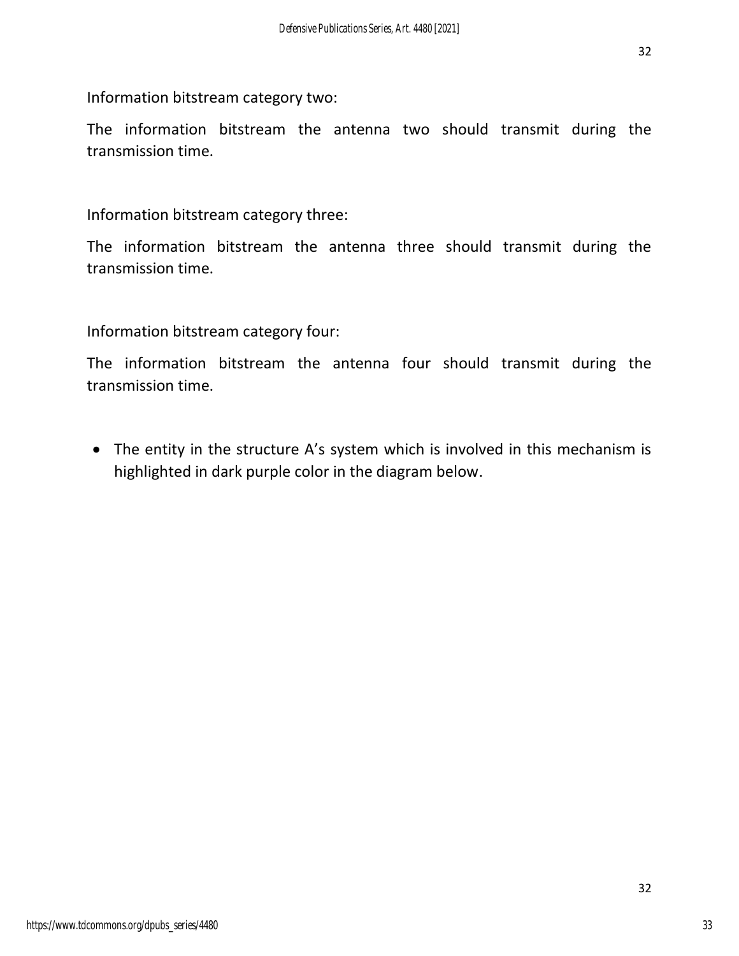32

Information bitstream category two:

The information bitstream the antenna two should transmit during the transmission time.

Information bitstream category three:

The information bitstream the antenna three should transmit during the transmission time.

Information bitstream category four:

The information bitstream the antenna four should transmit during the transmission time.

• The entity in the structure A's system which is involved in this mechanism is highlighted in dark purple color in the diagram below.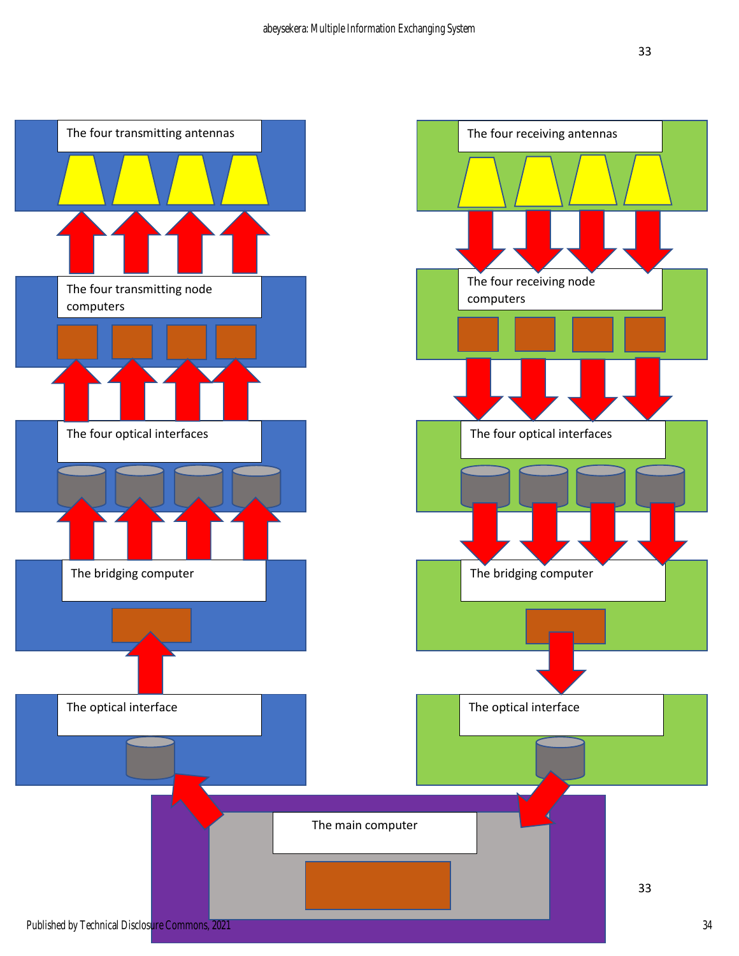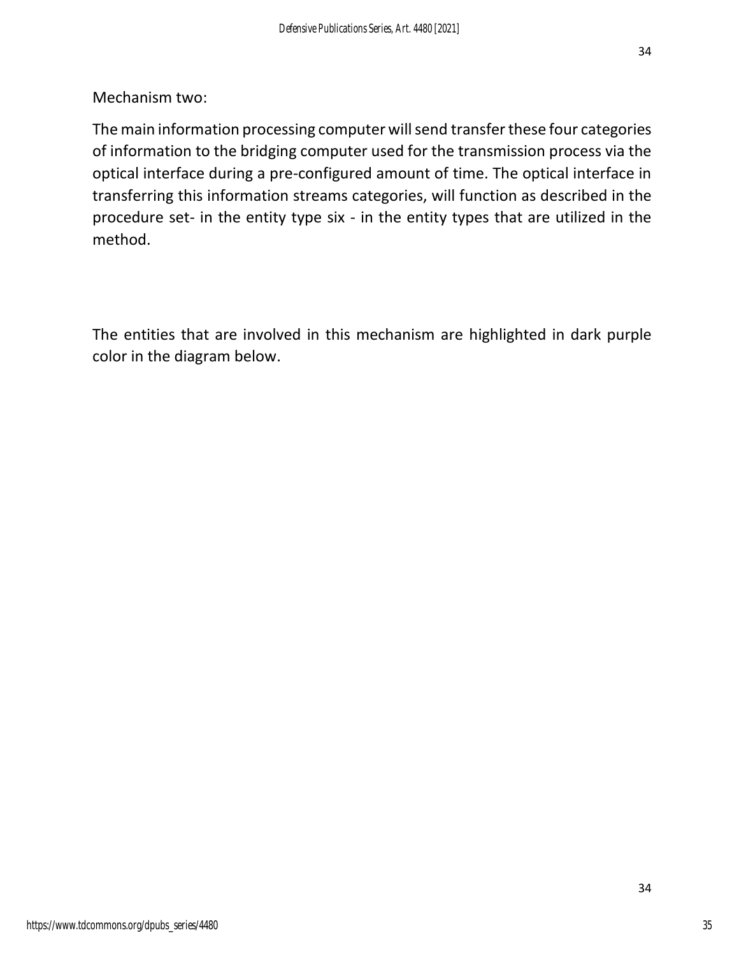Mechanism two:

The main information processing computer will send transfer these four categories of information to the bridging computer used for the transmission process via the optical interface during a pre-configured amount of time. The optical interface in transferring this information streams categories, will function as described in the procedure set- in the entity type six - in the entity types that are utilized in the method.

The entities that are involved in this mechanism are highlighted in dark purple color in the diagram below.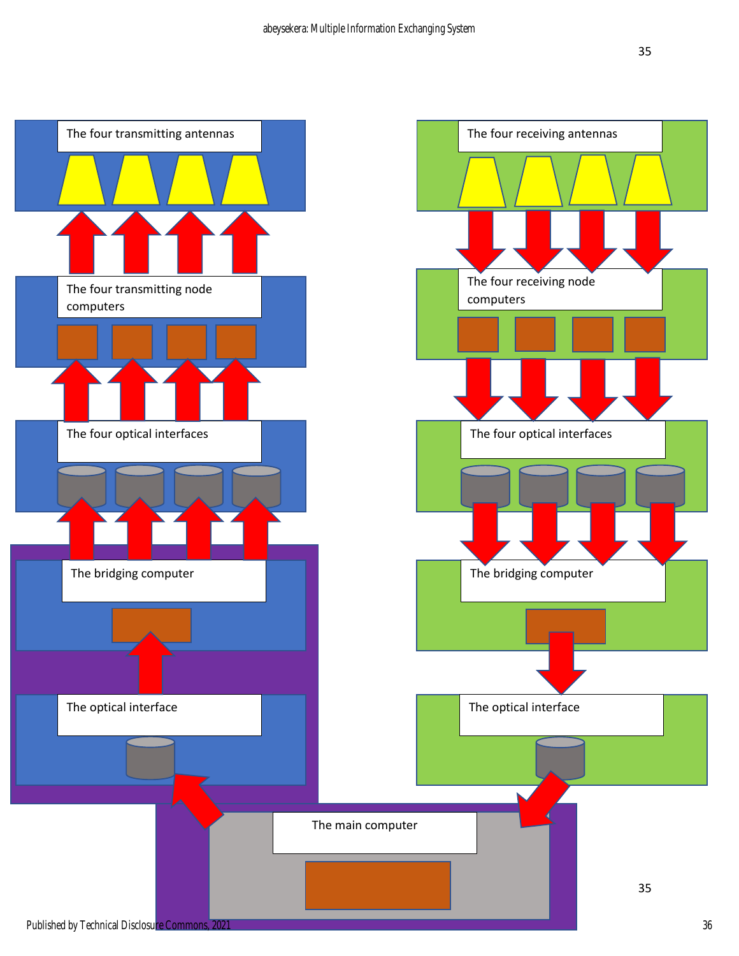![](_page_35_Figure_2.jpeg)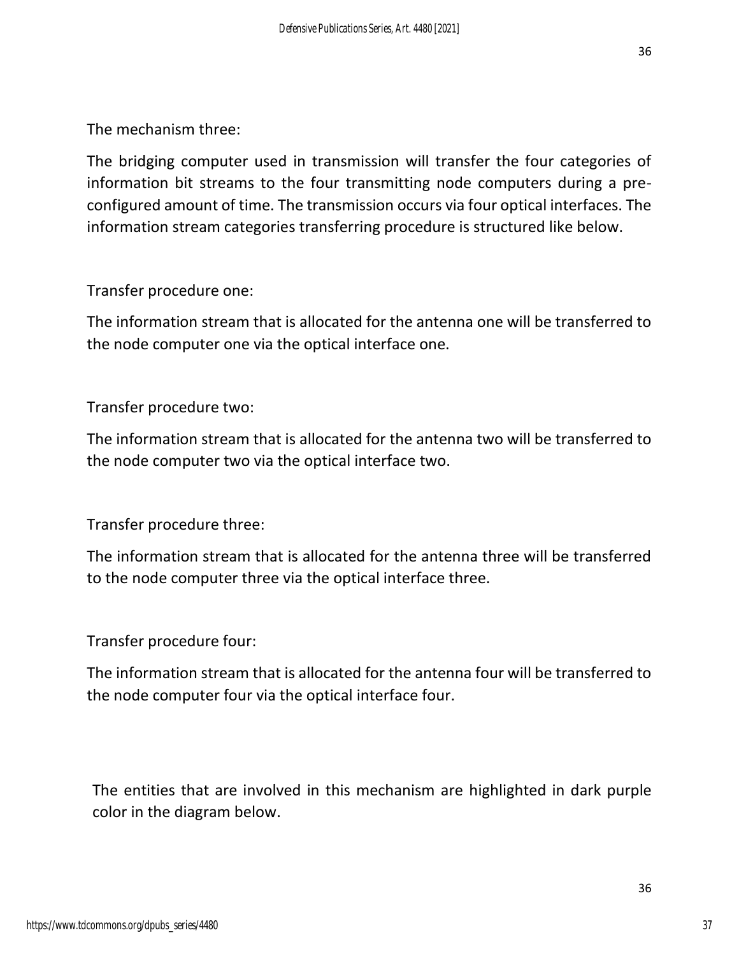The mechanism three:

The bridging computer used in transmission will transfer the four categories of information bit streams to the four transmitting node computers during a preconfigured amount of time. The transmission occurs via four optical interfaces. The information stream categories transferring procedure is structured like below.

Transfer procedure one:

The information stream that is allocated for the antenna one will be transferred to the node computer one via the optical interface one.

Transfer procedure two:

The information stream that is allocated for the antenna two will be transferred to the node computer two via the optical interface two.

Transfer procedure three:

The information stream that is allocated for the antenna three will be transferred to the node computer three via the optical interface three.

Transfer procedure four:

The information stream that is allocated for the antenna four will be transferred to the node computer four via the optical interface four.

The entities that are involved in this mechanism are highlighted in dark purple color in the diagram below.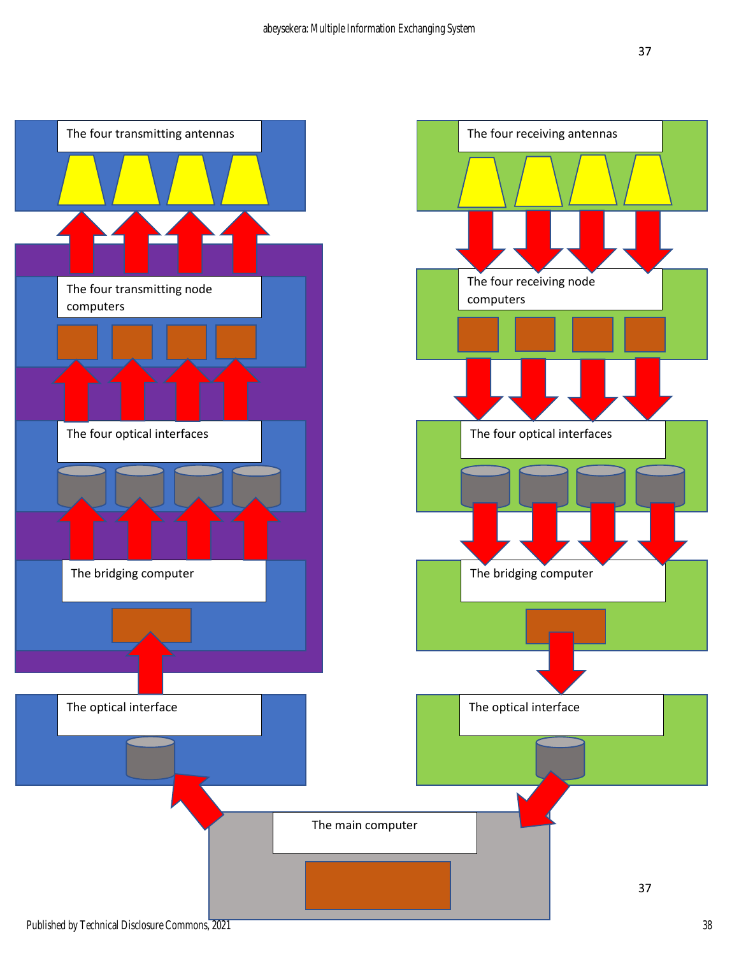![](_page_37_Figure_2.jpeg)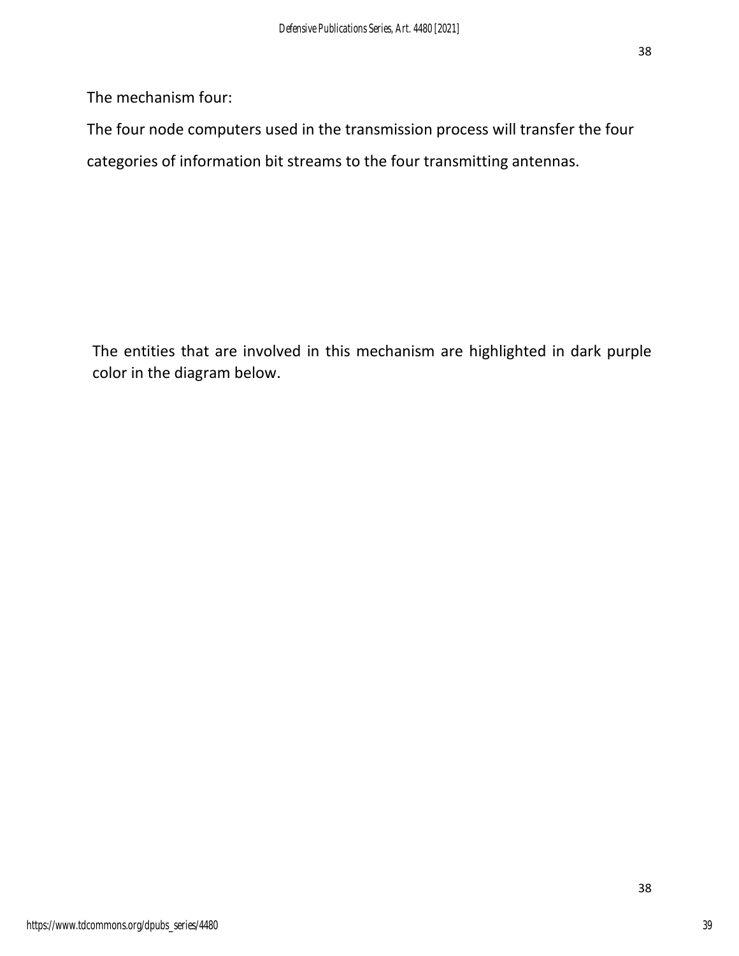The mechanism four:

The four node computers used in the transmission process will transfer the four categories of information bit streams to the four transmitting antennas.

The entities that are involved in this mechanism are highlighted in dark purple color in the diagram below.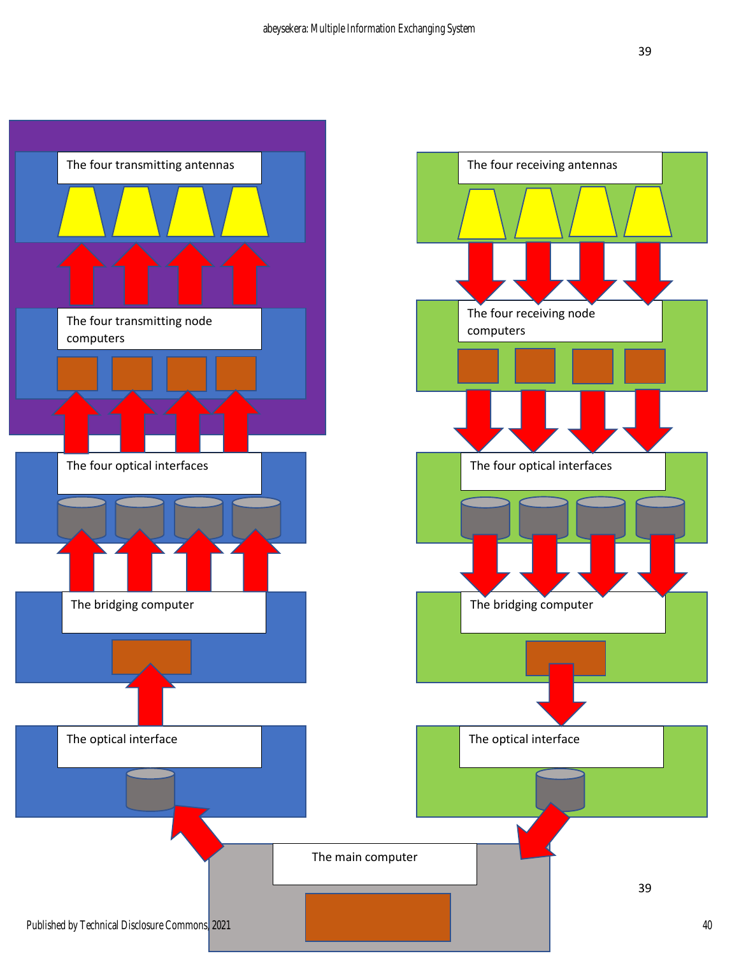![](_page_39_Figure_2.jpeg)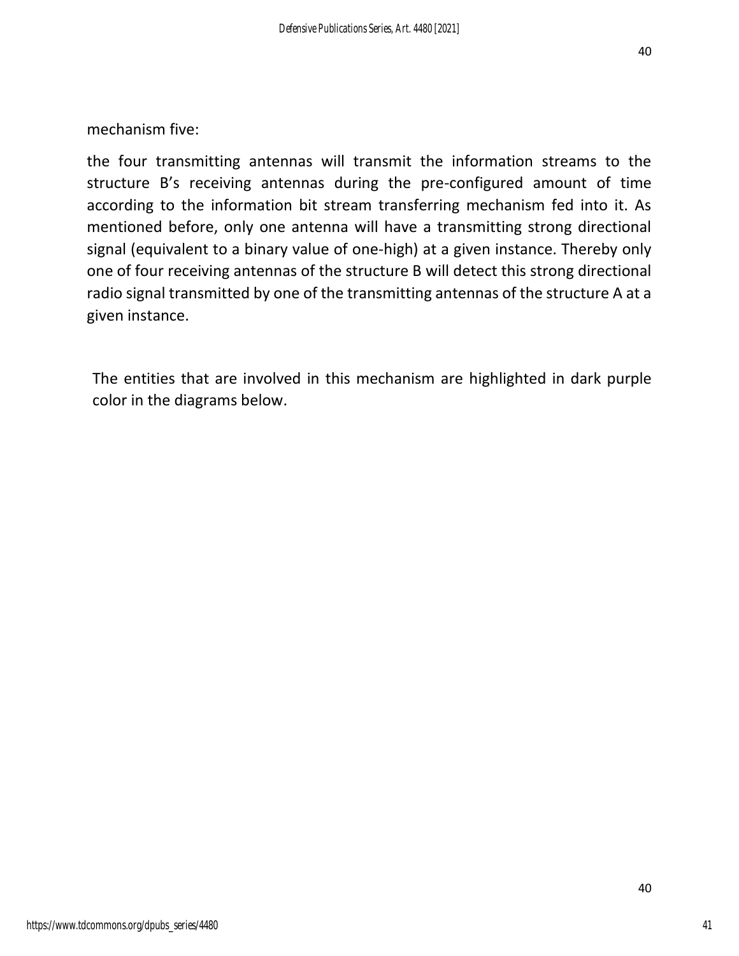mechanism five:

the four transmitting antennas will transmit the information streams to the structure B's receiving antennas during the pre-configured amount of time according to the information bit stream transferring mechanism fed into it. As mentioned before, only one antenna will have a transmitting strong directional signal (equivalent to a binary value of one-high) at a given instance. Thereby only one of four receiving antennas of the structure B will detect this strong directional radio signal transmitted by one of the transmitting antennas of the structure A at a given instance.

The entities that are involved in this mechanism are highlighted in dark purple color in the diagrams below.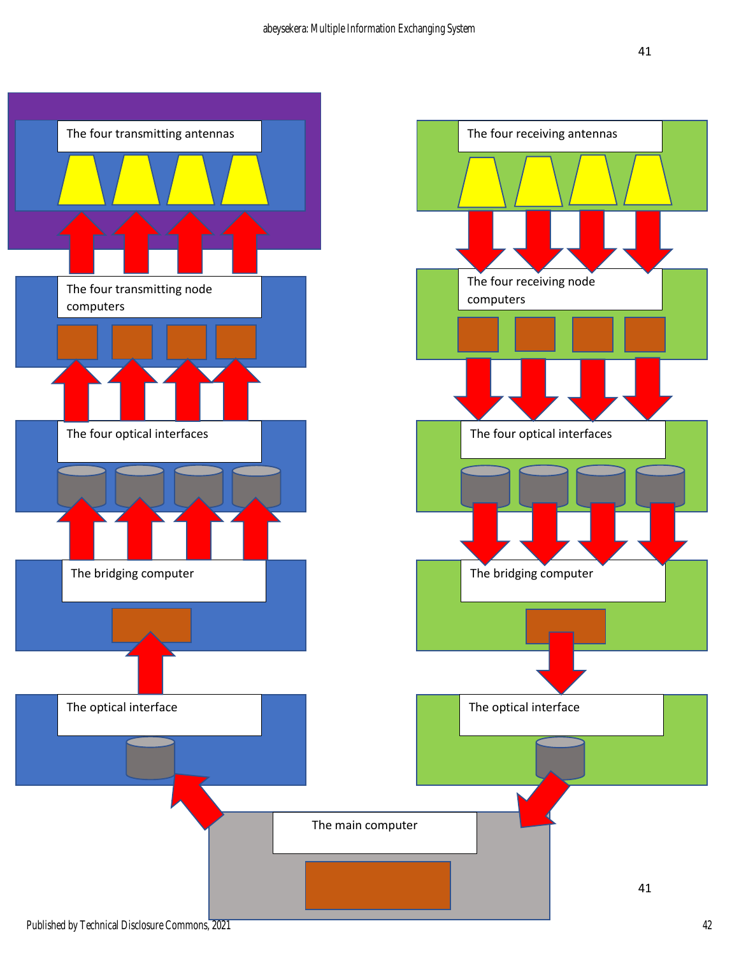![](_page_41_Figure_2.jpeg)

Published by Technical Disclosure Commons, 2021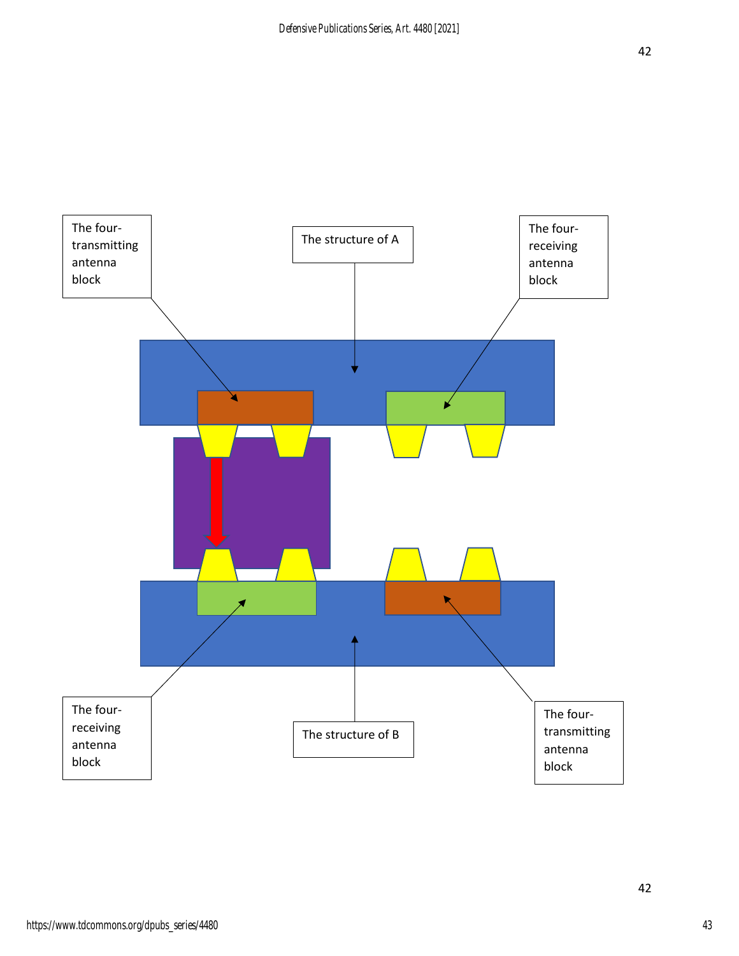![](_page_42_Figure_1.jpeg)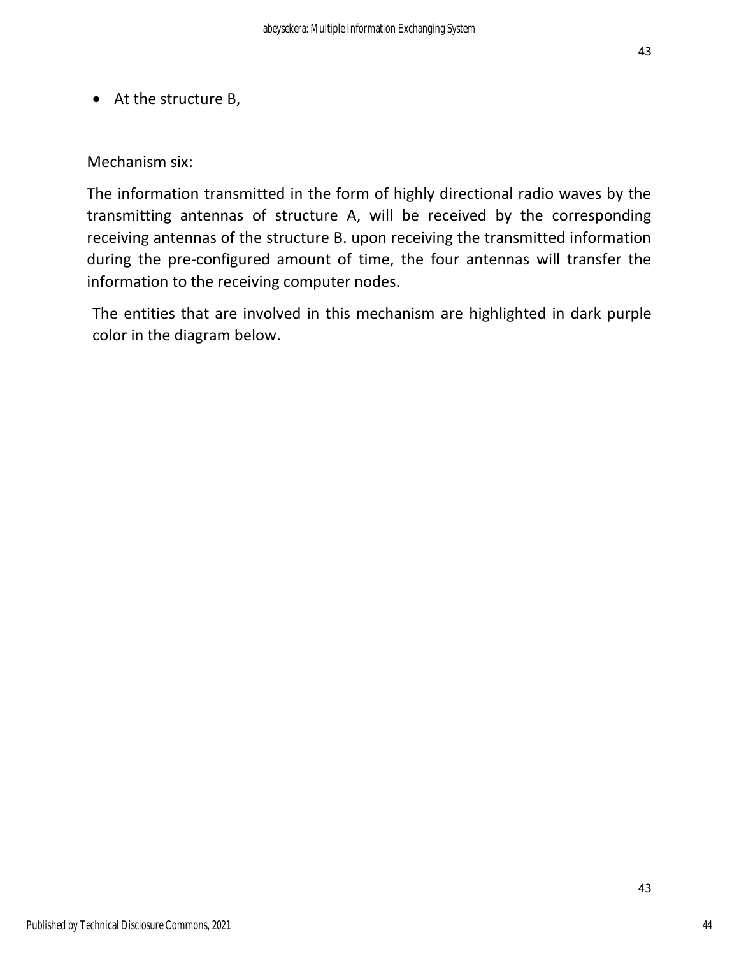43

• At the structure B,

Mechanism six:

The information transmitted in the form of highly directional radio waves by the transmitting antennas of structure A, will be received by the corresponding receiving antennas of the structure B. upon receiving the transmitted information during the pre-configured amount of time, the four antennas will transfer the information to the receiving computer nodes.

The entities that are involved in this mechanism are highlighted in dark purple color in the diagram below.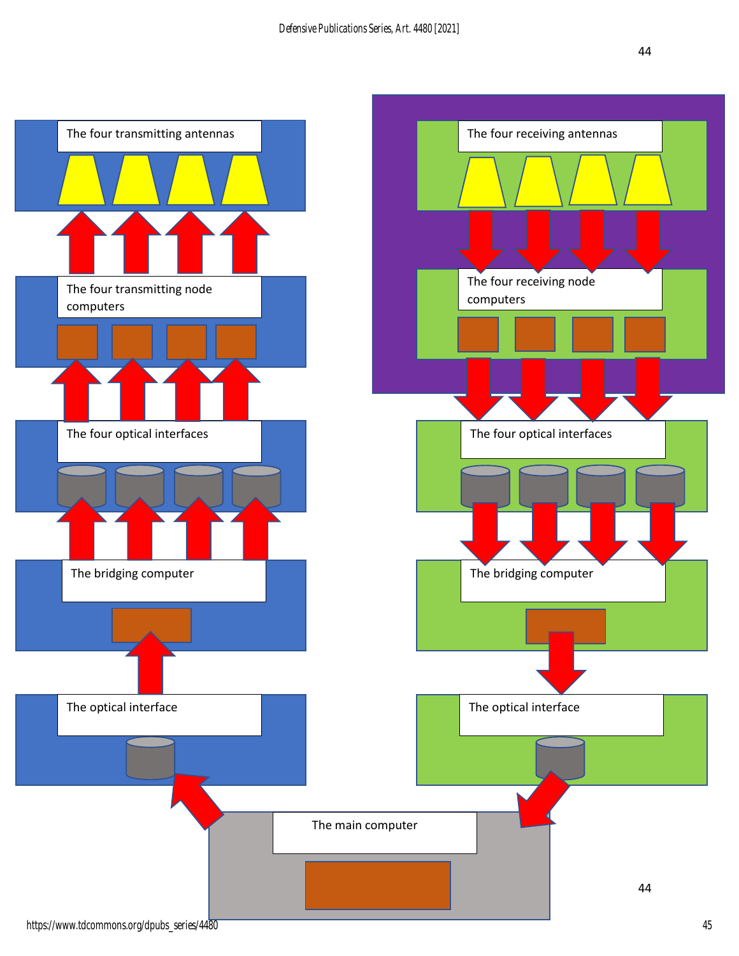![](_page_44_Figure_2.jpeg)

https://www.tdcommons.org/dpubs\_series/4480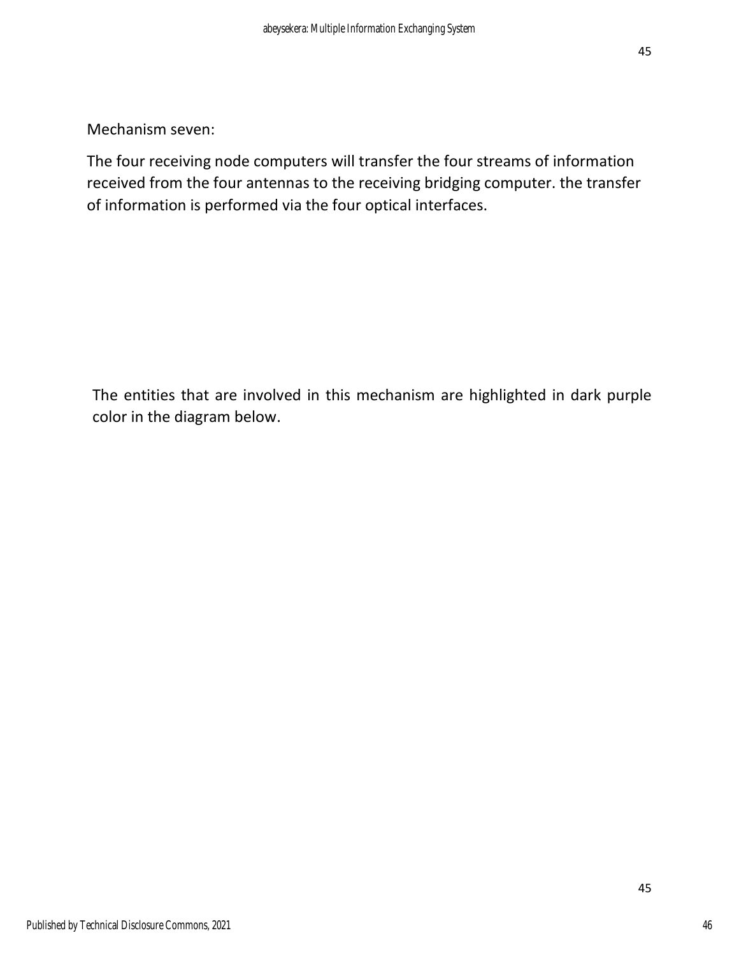Mechanism seven:

The four receiving node computers will transfer the four streams of information received from the four antennas to the receiving bridging computer. the transfer of information is performed via the four optical interfaces.

The entities that are involved in this mechanism are highlighted in dark purple color in the diagram below.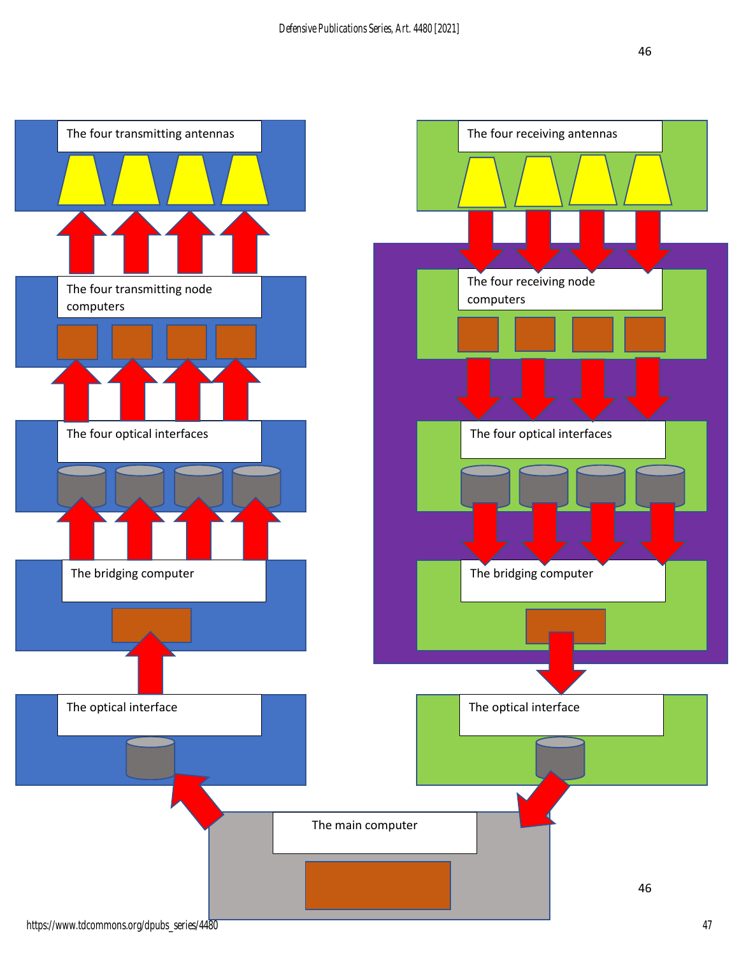![](_page_46_Figure_2.jpeg)

https://www.tdcommons.org/dpubs\_series/4480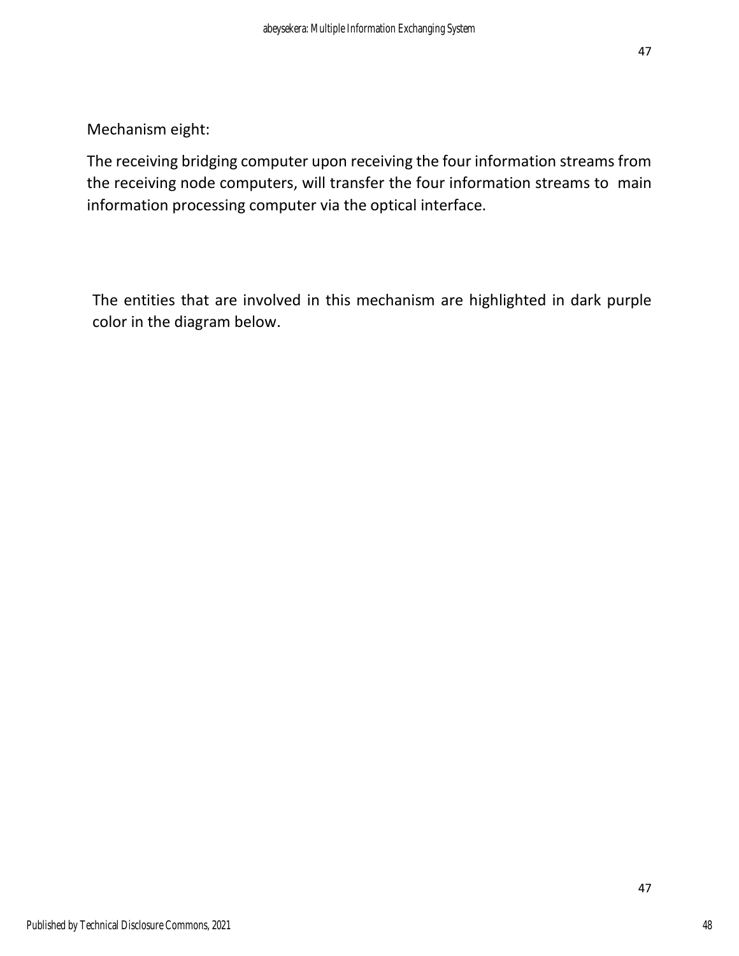Mechanism eight:

The receiving bridging computer upon receiving the four information streams from the receiving node computers, will transfer the four information streams to main information processing computer via the optical interface.

The entities that are involved in this mechanism are highlighted in dark purple color in the diagram below.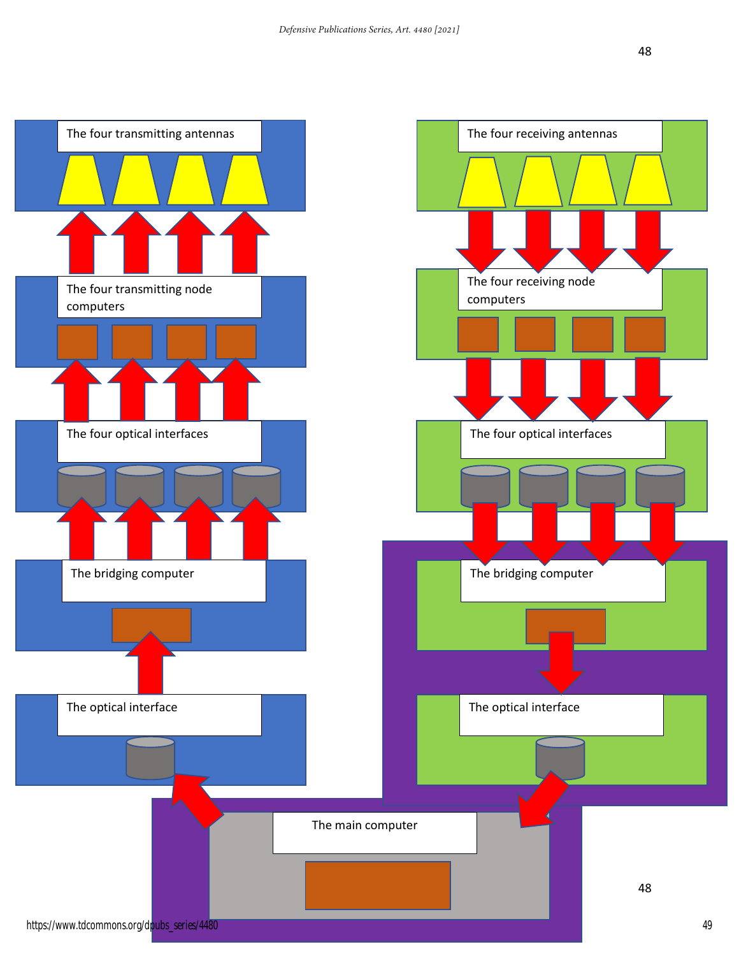![](_page_48_Figure_2.jpeg)